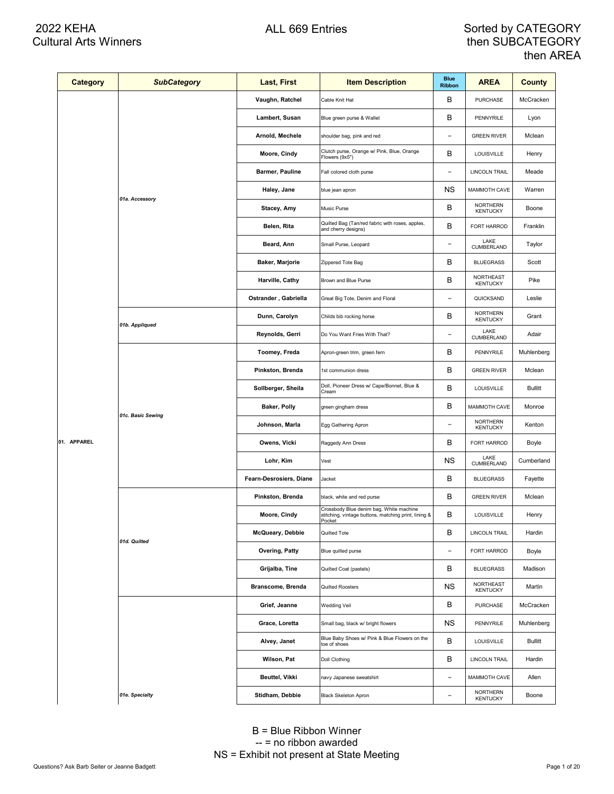| <b>Category</b> | <b>SubCategory</b> | <b>Last, First</b>      | <b>Item Description</b>                                                                                   | <b>Blue</b><br><b>Ribbon</b> | <b>AREA</b>                        | County         |
|-----------------|--------------------|-------------------------|-----------------------------------------------------------------------------------------------------------|------------------------------|------------------------------------|----------------|
|                 |                    | Vaughn, Ratchel         | Cable Knit Hat                                                                                            | в                            | <b>PURCHASE</b>                    | McCracken      |
|                 |                    | Lambert, Susan          | Blue green purse & Wallet                                                                                 | В                            | PENNYRILE                          | Lyon           |
|                 |                    | Arnold, Mechele         | shoulder bag, pink and red                                                                                | $\qquad \qquad -$            | <b>GREEN RIVER</b>                 | Mclean         |
|                 |                    | Moore, Cindy            | Clutch purse, Orange w/ Pink, Blue, Orange<br>Flowers (9x5")                                              | В                            | LOUISVILLE                         | Henry          |
|                 |                    | Barmer, Pauline         | Fall colored cloth purse                                                                                  | $\qquad \qquad -$            | <b>LINCOLN TRAIL</b>               | Meade          |
|                 |                    | Haley, Jane             | blue jean apron                                                                                           | ΝS                           | MAMMOTH CAVE                       | Warren         |
|                 | 01a. Accessory     | Stacey, Amy             | Music Purse                                                                                               | В                            | NORTHERN<br><b>KENTUCKY</b>        | Boone          |
|                 |                    | Belen, Rita             | Quilted Bag (Tan/red fabric with roses, apples,<br>and cherry designs)                                    | В                            | FORT HARROD                        | Franklin       |
|                 |                    | Beard, Ann              | Small Purse, Leopard                                                                                      | $\qquad \qquad -$            | LAKE<br>CUMBERLAND                 | Taylor         |
|                 |                    | Baker, Marjorie         | Zippered Tote Bag                                                                                         | В                            | <b>BLUEGRASS</b>                   | Scott          |
|                 |                    | Harville, Cathy         | Brown and Blue Purse                                                                                      | В                            | NORTHEAST<br><b>KENTUCKY</b>       | Pike           |
|                 |                    | Ostrander, Gabriella    | Great Big Tote, Denim and Floral                                                                          | $\qquad \qquad -$            | QUICKSAND                          | Leslie         |
|                 |                    | Dunn, Carolyn           | Childs bib rocking horse                                                                                  | В                            | <b>NORTHERN</b><br><b>KENTUCKY</b> | Grant          |
|                 | 01b. Appliqued     | Reynolds, Gerri         | Do You Want Fries With That?                                                                              | $\qquad \qquad$              | LAKE<br>CUMBERLAND                 | Adair          |
|                 |                    | Toomey, Freda           | Apron-green trim, green fern                                                                              | В                            | PENNYRILE                          | Muhlenberg     |
|                 |                    | Pinkston, Brenda        | 1st communion dress                                                                                       | В                            | <b>GREEN RIVER</b>                 | Mclean         |
|                 |                    | Sollberger, Sheila      | Doll, Pioneer Dress w/ Cape/Bonnet, Blue &<br>Cream                                                       | В                            | LOUISVILLE                         | <b>Bullitt</b> |
|                 | 01c. Basic Sewing  | Baker, Polly            | green gingham dress                                                                                       | В                            | MAMMOTH CAVE                       | Monroe         |
|                 |                    | Johnson, Marla          | Egg Gathering Apron                                                                                       | $\overline{a}$               | <b>NORTHERN</b><br><b>KENTUCKY</b> | Kenton         |
| 01. APPAREL     |                    | Owens, Vicki            | Raggedy Ann Dress                                                                                         | В                            | FORT HARROD                        | Boyle          |
|                 |                    | Lohr, Kim               | Vest                                                                                                      | ΝS                           | LAKE<br>CUMBERLAND                 | Cumberland     |
|                 |                    | Fearn-Desrosiers, Diane | Jacket                                                                                                    | В                            | <b>BLUEGRASS</b>                   | Fayette        |
|                 |                    | Pinkston, Brenda        | black, white and red purse                                                                                | В                            | <b>GREEN RIVER</b>                 | Mclean         |
|                 |                    | Moore, Cindy            | Crossbody Blue denim bag, White machine<br>stitching, vintage buttons, matching print, lining &<br>Pocket | В                            | LOUISVILLE                         | Henry          |
|                 | 01d. Quilted       | McQueary, Debbie        | Quilted Tote                                                                                              | В                            | LINCOLN TRAIL                      | Hardin         |
|                 |                    | Overing, Patty          | Blue quilted purse                                                                                        | $\qquad \qquad -$            | FORT HARROD                        | Boyle          |
|                 |                    | Grijalba, Tine          | Quilted Coat (pastels)                                                                                    | В                            | <b>BLUEGRASS</b>                   | Madison        |
|                 |                    | Branscome, Brenda       | Quilted Roosters                                                                                          | ΝS                           | NORTHEAST<br><b>KENTUCKY</b>       | Martin         |
|                 |                    | Grief, Jeanne           | Wedding Veil                                                                                              | В                            | PURCHASE                           | McCracken      |
|                 |                    | Grace, Loretta          | Small bag, black w/ bright flowers                                                                        | ΝS                           | PENNYRILE                          | Muhlenberg     |
|                 |                    | Alvey, Janet            | Blue Baby Shoes w/ Pink & Blue Flowers on the<br>toe of shoes                                             | В                            | LOUISVILLE                         | <b>Bullitt</b> |
|                 |                    | Wilson, Pat             | Doll Clothing                                                                                             | В                            | LINCOLN TRAIL                      | Hardin         |
|                 |                    | Beuttel, Vikki          | navy Japanese sweatshirt                                                                                  | $\qquad \qquad -$            | MAMMOTH CAVE                       | Allen          |
|                 | 01e. Specialty     | Stidham, Debbie         | Black Skeleton Apron                                                                                      | $\overline{\phantom{a}}$     | <b>NORTHERN</b><br><b>KENTUCKY</b> | Boone          |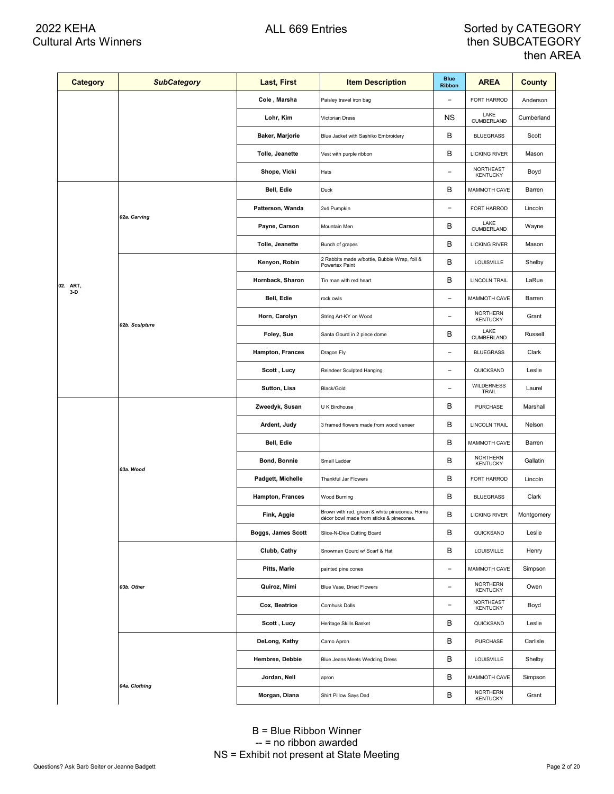| Category | <b>SubCategory</b> | Last, First        | <b>Item Description</b>                                                                   | <b>Blue</b><br><b>Ribbon</b> | <b>AREA</b>                         | <b>County</b> |
|----------|--------------------|--------------------|-------------------------------------------------------------------------------------------|------------------------------|-------------------------------------|---------------|
|          |                    | Cole, Marsha       | Paisley travel iron bag                                                                   | $\overline{a}$               | FORT HARROD                         | Anderson      |
|          |                    | Lohr, Kim          | Victorian Dress                                                                           | ΝS                           | LAKE<br>CUMBERLAND                  | Cumberland    |
|          |                    | Baker, Marjorie    | Blue Jacket with Sashiko Embroidery                                                       | В                            | <b>BLUEGRASS</b>                    | Scott         |
|          |                    | Tolle, Jeanette    | Vest with purple ribbon                                                                   | B                            | <b>LICKING RIVER</b>                | Mason         |
|          |                    | Shope, Vicki       | Hats                                                                                      | $\overline{\phantom{0}}$     | NORTHEAST<br><b>KENTUCKY</b>        | Boyd          |
|          |                    | Bell, Edie         | Duck                                                                                      | В                            | MAMMOTH CAVE                        | Barren        |
|          |                    | Patterson, Wanda   | 2x4 Pumpkin                                                                               | $\overline{\phantom{0}}$     | FORT HARROD                         | Lincoln       |
|          | 02a. Carving       | Payne, Carson      | Mountain Men                                                                              | в                            | LAKE<br>CUMBERLAND                  | Wayne         |
|          |                    | Tolle, Jeanette    | Bunch of grapes                                                                           | В                            | <b>LICKING RIVER</b>                | Mason         |
|          |                    | Kenyon, Robin      | 2 Rabbits made w/bottle, Bubble Wrap, foil &<br>Powertex Paint                            | B                            | LOUISVILLE                          | Shelby        |
| 02. ART, |                    | Hornback, Sharon   | Tin man with red heart                                                                    | В                            | <b>LINCOLN TRAIL</b>                | LaRue         |
| $3-D$    |                    | Bell, Edie         | rock owls                                                                                 | $\overline{\phantom{0}}$     | MAMMOTH CAVE                        | Barren        |
|          | 02b. Sculpture     | Horn, Carolyn      | String Art-KY on Wood                                                                     | $\overline{\phantom{0}}$     | NORTHERN<br><b>KENTUCKY</b>         | Grant         |
|          |                    | Foley, Sue         | Santa Gourd in 2 piece dome                                                               | В                            | LAKE<br>CUMBERLAND                  | Russell       |
|          |                    | Hampton, Frances   | Dragon Fly                                                                                | $\overline{\phantom{0}}$     | <b>BLUEGRASS</b>                    | Clark         |
|          |                    | Scott, Lucy        | Reindeer Sculpted Hanging                                                                 | $\overline{\phantom{0}}$     | QUICKSAND                           | Leslie        |
|          |                    | Sutton, Lisa       | Black/Gold                                                                                | $\overline{a}$               | <b>WILDERNESS</b><br>TRAIL          | Laurel        |
|          |                    | Zweedyk, Susan     | U K Birdhouse                                                                             | в                            | PURCHASE                            | Marshall      |
|          |                    | Ardent, Judy       | 3 framed flowers made from wood veneer                                                    | В                            | LINCOLN TRAIL                       | Nelson        |
|          |                    | Bell, Edie         |                                                                                           | B                            | MAMMOTH CAVE                        | Barren        |
|          | 03a. Wood          | Bond, Bonnie       | Small Ladder                                                                              | В                            | <b>NORTHERN</b><br><b>KENTUCKY</b>  | Gallatin      |
|          |                    | Padgett, Michelle  | Thankful Jar Flowers                                                                      | B                            | FORT HARROD                         | Lincoln       |
|          |                    | Hampton, Frances   | Wood Burning                                                                              | В                            | <b>BLUEGRASS</b>                    | Clark         |
|          |                    | Fink, Aggie        | Brown with red, green & white pinecones. Home<br>décor bowl made from sticks & pinecones. | в                            | <b>LICKING RIVER</b>                | Montgomery    |
|          |                    | Boggs, James Scott | Slice-N-Dice Cutting Board                                                                | В                            | QUICKSAND                           | Leslie        |
|          |                    | Clubb, Cathy       | Snowman Gourd w/ Scarf & Hat                                                              | В                            | <b>LOUISVILLE</b>                   | Henry         |
|          |                    | Pitts, Marie       | painted pine cones                                                                        | -                            | MAMMOTH CAVE                        | Simpson       |
|          | 03b. Other         | Quiroz, Mimi       | Blue Vase, Dried Flowers                                                                  | -                            | <b>NORTHERN</b><br><b>KENTUCKY</b>  | Owen          |
|          |                    | Cox, Beatrice      | Cornhusk Dolls                                                                            | $\overline{a}$               | <b>NORTHEAST</b><br><b>KENTUCKY</b> | Boyd          |
|          |                    | Scott, Lucy        | Heritage Skills Basket                                                                    | В                            | QUICKSAND                           | Leslie        |
|          |                    | DeLong, Kathy      | Camo Apron                                                                                | В                            | PURCHASE                            | Carlisle      |
|          |                    | Hembree, Debbie    | Blue Jeans Meets Wedding Dress                                                            | В                            | LOUISVILLE                          | Shelby        |
|          |                    | Jordan, Nell       | apron                                                                                     | В                            | MAMMOTH CAVE                        | Simpson       |
|          | 04a. Clothing      | Morgan, Diana      | Shirt Pillow Says Dad                                                                     | В                            | <b>NORTHERN</b><br><b>KENTUCKY</b>  | Grant         |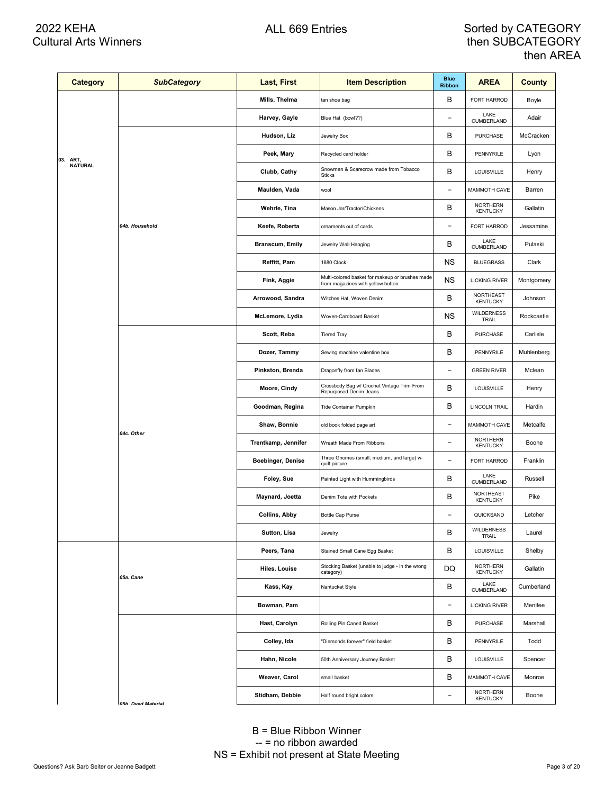| <b>Category</b> | <b>SubCategory</b>         | Last, First            | <b>Item Description</b>                                                               | <b>Blue</b><br><b>Ribbon</b> | <b>AREA</b>                        | <b>County</b> |
|-----------------|----------------------------|------------------------|---------------------------------------------------------------------------------------|------------------------------|------------------------------------|---------------|
|                 |                            | Mills, Thelma          | tan shoe bag                                                                          | В                            | FORT HARROD                        | Boyle         |
|                 |                            | Harvey, Gayle          | Blue Hat (bowl??)                                                                     | $\overline{\phantom{0}}$     | LAKE<br>CUMBERLAND                 | Adair         |
|                 |                            | Hudson, Liz            | Jewelry Box                                                                           | В                            | <b>PURCHASE</b>                    | McCracken     |
| 03. ART,        |                            | Peek, Mary             | Recycled card holder                                                                  | в                            | PENNYRILE                          | Lyon          |
| <b>NATURAL</b>  |                            | Clubb, Cathy           | Snowman & Scarecrow made from Tobacco<br><b>Sticks</b>                                | В                            | LOUISVILLE                         | Henry         |
|                 |                            | Maulden, Vada          | wool                                                                                  | $\qquad \qquad -$            | MAMMOTH CAVE                       | Barren        |
|                 |                            | Wehrle, Tina           | Mason Jar/Tractor/Chickens                                                            | в                            | <b>NORTHERN</b><br><b>KENTUCKY</b> | Gallatin      |
|                 | 04b. Household             | Keefe, Roberta         | ornaments out of cards                                                                | $\overline{a}$               | FORT HARROD                        | Jessamine     |
|                 |                            | <b>Branscum, Emily</b> | Jewelry Wall Hanging                                                                  | В                            | LAKE<br>CUMBERLAND                 | Pulaski       |
|                 |                            | Reffitt, Pam           | 1880 Clock                                                                            | ΝS                           | <b>BLUEGRASS</b>                   | Clark         |
|                 |                            | Fink, Aggie            | Multi-colored basket for makeup or brushes made<br>from magazines with yellow button. | ΝS                           | <b>LICKING RIVER</b>               | Montgomery    |
|                 |                            | Arrowood, Sandra       | Witches Hat, Woven Denim                                                              | В                            | NORTHEAST<br><b>KENTUCKY</b>       | Johnson       |
|                 |                            | McLemore, Lydia        | Woven-Cardboard Basket                                                                | ΝS                           | <b>WILDERNESS</b><br>TRAIL         | Rockcastle    |
|                 |                            | Scott, Reba            | <b>Tiered Tray</b>                                                                    | в                            | <b>PURCHASE</b>                    | Carlisle      |
|                 |                            | Dozer, Tammy           | Sewing machine valentine box                                                          | в                            | <b>PENNYRILE</b>                   | Muhlenberg    |
|                 |                            | Pinkston, Brenda       | Dragonfly from fan Blades                                                             | $\overline{a}$               | <b>GREEN RIVER</b>                 | Mclean        |
|                 |                            | Moore, Cindy           | Crossbody Bag w/ Crochet Vintage Trim From<br>Repurposed Denim Jeans                  | в                            | LOUISVILLE                         | Henry         |
|                 |                            | Goodman, Regina        | Tide Container Pumpkin                                                                | В                            | LINCOLN TRAIL                      | Hardin        |
|                 | 04c. Other                 | Shaw, Bonnie           | old book folded page art                                                              | $\overline{a}$               | MAMMOTH CAVE                       | Metcalfe      |
|                 |                            | Trentkamp, Jennifer    | Wreath Made From Ribbons                                                              | $\overline{\phantom{0}}$     | NORTHERN<br><b>KENTUCKY</b>        | Boone         |
|                 |                            | Boebinger, Denise      | Three Gnomes (small, medium, and large) w-<br>quilt picture                           | $\qquad \qquad -$            | FORT HARROD                        | Franklin      |
|                 |                            | Foley, Sue             | Painted Light with Hummingbirds                                                       | В                            | LAKE<br>CUMBERLAND                 | Russell       |
|                 |                            | Maynard, Joetta        | Denim Tote with Pockets                                                               | в                            | NORTHEAST<br><b>KENTUCKY</b>       | Pike          |
|                 |                            | <b>Collins, Abby</b>   | <b>Bottle Cap Purse</b>                                                               | $\overline{a}$               | QUICKSAND                          | Letcher       |
|                 |                            | Sutton, Lisa           | Jewelry                                                                               | в                            | <b>WILDERNESS</b><br>TRAIL         | Laurel        |
|                 |                            | Peers, Tana            | Stained Small Cane Egg Basket                                                         | В                            | LOUISVILLE                         | Shelby        |
|                 | 05a. Cane                  | Hiles, Louise          | Stocking Basket (unable to judge - in the wrong<br>category)                          | DQ                           | NORTHERN<br><b>KENTUCKY</b>        | Gallatin      |
|                 |                            | Kass, Kay              | Nantucket Style                                                                       | В                            | LAKE<br>CUMBERLAND                 | Cumberland    |
|                 |                            | Bowman, Pam            |                                                                                       | $\qquad \qquad -$            | <b>LICKING RIVER</b>               | Menifee       |
|                 |                            | Hast, Carolyn          | Rolling Pin Caned Basket                                                              | В                            | PURCHASE                           | Marshall      |
|                 |                            | Colley, Ida            | "Diamonds forever" field basket                                                       | В                            | PENNYRILE                          | Todd          |
|                 |                            | Hahn, Nicole           | 50th Anniversary Journey Basket                                                       | В                            | LOUISVILLE                         | Spencer       |
|                 |                            | Weaver, Carol          | small basket                                                                          | В                            | MAMMOTH CAVE                       | Monroe        |
|                 | <b>OEL</b><br>Duad Materia | Stidham, Debbie        | Half round bright colors                                                              | $\qquad \qquad -$            | NORTHERN<br><b>KENTUCKY</b>        | Boone         |

*05b Dyed Material*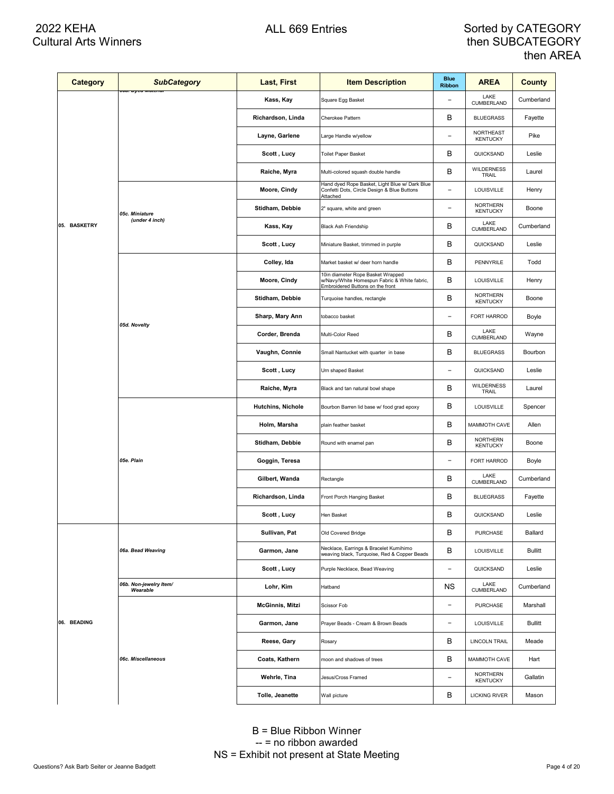| <b>Category</b> | <b>SubCategory</b><br><mark>יטט. בעט וויז איש</mark> | Last, First            | <b>Item Description</b>                                                                                               | <b>Blue</b><br><b>Ribbon</b> | <b>AREA</b>                         | County         |
|-----------------|------------------------------------------------------|------------------------|-----------------------------------------------------------------------------------------------------------------------|------------------------------|-------------------------------------|----------------|
|                 |                                                      | Kass, Kay              | Square Egg Basket                                                                                                     |                              | LAKE<br>CUMBERLAND                  | Cumberland     |
|                 |                                                      | Richardson, Linda      | Cherokee Pattern                                                                                                      | в                            | <b>BLUEGRASS</b>                    | Fayette        |
|                 |                                                      | Layne, Garlene         | Large Handle w/yellow                                                                                                 | $\overline{\phantom{0}}$     | <b>NORTHEAST</b><br><b>KENTUCKY</b> | Pike           |
|                 |                                                      | Scott, Lucy            | Toilet Paper Basket                                                                                                   | в                            | QUICKSAND                           | Leslie         |
|                 |                                                      | Raiche, Myra           | Multi-colored squash double handle                                                                                    | В                            | <b>WILDERNESS</b><br>TRAIL          | Laurel         |
|                 |                                                      | Moore, Cindy           | Hand dyed Rope Basket, Light Blue w/ Dark Blue<br>Confetti Dots, Circle Design & Blue Buttons<br>Attached             | $\overline{\phantom{0}}$     | LOUISVILLE                          | Henry          |
|                 | 05c. Miniature                                       | Stidham, Debbie        | 2" square, white and green                                                                                            | -                            | <b>NORTHERN</b><br><b>KENTUCKY</b>  | Boone          |
| 05. BASKETRY    | (under 4 inch)                                       | Kass, Kay              | <b>Black Ash Friendship</b>                                                                                           | В                            | LAKE<br>CUMBERLAND                  | Cumberland     |
|                 |                                                      | Scott, Lucy            | Miniature Basket, trimmed in purple                                                                                   | В                            | QUICKSAND                           | Leslie         |
|                 |                                                      | Colley, Ida            | Market basket w/ deer horn handle                                                                                     | В                            | PENNYRILE                           | Todd           |
|                 |                                                      | Moore, Cindy           | 10in diameter Rope Basket Wrapped<br>w/Navy/White Homespun Fabric & White fabric,<br>Embroidered Buttons on the front | В                            | <b>LOUISVILLE</b>                   | Henry          |
|                 |                                                      | Stidham, Debbie        | Turquoise handles, rectangle                                                                                          | B                            | <b>NORTHERN</b><br><b>KENTUCKY</b>  | Boone          |
|                 | 05d. Novelty                                         | Sharp, Mary Ann        | tobacco basket                                                                                                        | $\overline{\phantom{0}}$     | FORT HARROD                         | Boyle          |
|                 |                                                      | Corder, Brenda         | Multi-Color Reed                                                                                                      | в                            | LAKE<br>CUMBERLAND                  | Wayne          |
|                 |                                                      | Vaughn, Connie         | Small Nantucket with quarter in base                                                                                  | В                            | <b>BLUEGRASS</b>                    | Bourbon        |
|                 |                                                      | Scott, Lucy            | Urn shaped Basket                                                                                                     |                              | QUICKSAND                           | Leslie         |
|                 |                                                      | Raiche, Myra           | Black and tan natural bowl shape                                                                                      | В                            | <b>WILDERNESS</b><br>TRAIL          | Laurel         |
|                 |                                                      | Hutchins, Nichole      | Bourbon Barren lid base w/ food grad epoxy                                                                            | В                            | LOUISVILLE                          | Spencer        |
|                 |                                                      | Holm, Marsha           | plain feather basket                                                                                                  | В                            | MAMMOTH CAVE                        | Allen          |
|                 |                                                      | Stidham, Debbie        | Round with enamel pan                                                                                                 | В                            | <b>NORTHERN</b><br><b>KENTUCKY</b>  | Boone          |
|                 | 05e. Plain                                           | Goggin, Teresa         |                                                                                                                       | $\overline{\phantom{0}}$     | FORT HARROD                         | Boyle          |
|                 |                                                      | Gilbert, Wanda         | Rectangle                                                                                                             | В                            | LAKE<br><b>CUMBERLAND</b>           | Cumberland     |
|                 |                                                      | Richardson, Linda      | Front Porch Hanging Basket                                                                                            | в                            | <b>BLUEGRASS</b>                    | Fayette        |
|                 |                                                      | Scott, Lucy            | Hen Basket                                                                                                            | В                            | QUICKSAND                           | Leslie         |
|                 |                                                      | Sullivan, Pat          | Old Covered Bridge                                                                                                    | В                            | <b>PURCHASE</b>                     | Ballard        |
|                 | 06a. Bead Weaving                                    | Garmon, Jane           | Necklace, Earrings & Bracelet Kumihimo<br>weaving black, Turquoise, Red & Copper Beads                                | В                            | <b>LOUISVILLE</b>                   | <b>Bullitt</b> |
|                 |                                                      | Scott, Lucy            | Purple Necklace, Bead Weaving                                                                                         | $\overline{a}$               | QUICKSAND                           | Leslie         |
|                 | 06b. Non-jewelry Item/<br>Wearable                   | Lohr, Kim              | Hatband                                                                                                               | ΝS                           | LAKE<br>CUMBERLAND                  | Cumberland     |
|                 |                                                      | <b>McGinnis, Mitzi</b> | Scissor Fob                                                                                                           | $\overline{\phantom{0}}$     | <b>PURCHASE</b>                     | Marshall       |
| 06. BEADING     |                                                      | Garmon, Jane           | Prayer Beads - Cream & Brown Beads                                                                                    | $\overline{\phantom{0}}$     | <b>LOUISVILLE</b>                   | <b>Bullitt</b> |
|                 |                                                      | Reese, Gary            | Rosary                                                                                                                | В                            | <b>LINCOLN TRAIL</b>                | Meade          |
|                 | 06c. Miscellaneous                                   | Coats, Kathern         | moon and shadows of trees                                                                                             | В                            | MAMMOTH CAVE                        | Hart           |
|                 |                                                      | Wehrle, Tina           | Jesus/Cross Framed                                                                                                    | $\overline{\phantom{0}}$     | <b>NORTHERN</b><br><b>KENTUCKY</b>  | Gallatin       |
|                 |                                                      | Tolle, Jeanette        | Wall picture                                                                                                          | В                            | <b>LICKING RIVER</b>                | Mason          |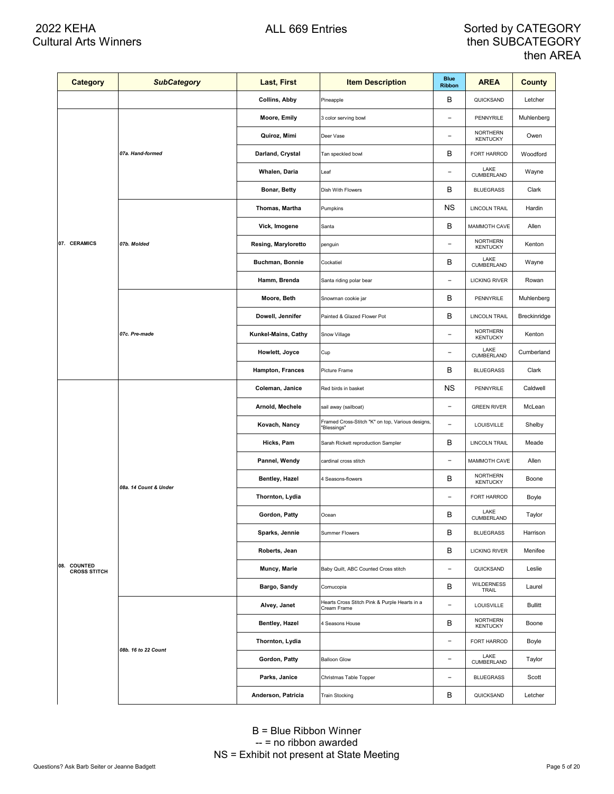| <b>Category</b>                    | <b>SubCategory</b>    | Last, First          | <b>Item Description</b>                                         | <b>Blue</b><br><b>Ribbon</b> | <b>AREA</b>                        | <b>County</b>  |
|------------------------------------|-----------------------|----------------------|-----------------------------------------------------------------|------------------------------|------------------------------------|----------------|
|                                    |                       | <b>Collins, Abby</b> | Pineapple                                                       | В                            | QUICKSAND                          | Letcher        |
|                                    |                       | Moore, Emily         | 3 color serving bowl                                            | $\overline{\phantom{0}}$     | PENNYRILE                          | Muhlenberg     |
|                                    |                       | Quiroz, Mimi         | Deer Vase                                                       | $\overline{\phantom{0}}$     | <b>NORTHERN</b><br><b>KENTUCKY</b> | Owen           |
|                                    | 07a. Hand-formed      | Darland, Crystal     | Tan speckled bowl                                               | B                            | FORT HARROD                        | Woodford       |
|                                    |                       | Whalen, Daria        | Leaf                                                            | $\overline{a}$               | LAKE<br>CUMBERLAND                 | Wayne          |
|                                    |                       | Bonar, Betty         | Dish With Flowers                                               | В                            | <b>BLUEGRASS</b>                   | Clark          |
|                                    |                       | Thomas, Martha       | Pumpkins                                                        | <b>NS</b>                    | LINCOLN TRAIL                      | Hardin         |
|                                    |                       | Vick, Imogene        | Santa                                                           | B                            | MAMMOTH CAVE                       | Allen          |
| 07. CERAMICS                       | 07b. Molded           | Resing, Maryloretto  | penguin                                                         | $\overline{a}$               | <b>NORTHERN</b><br><b>KENTUCKY</b> | Kenton         |
|                                    |                       | Buchman, Bonnie      | Cockatiel                                                       | B                            | LAKE<br>CUMBERLAND                 | Wayne          |
|                                    |                       | Hamm, Brenda         | Santa riding polar bear                                         | $\overline{a}$               | <b>LICKING RIVER</b>               | Rowan          |
|                                    |                       | Moore, Beth          | Snowman cookie jar                                              | B                            | PENNYRILE                          | Muhlenberg     |
|                                    | 07c. Pre-made         | Dowell, Jennifer     | Painted & Glazed Flower Pot                                     | B                            | <b>LINCOLN TRAIL</b>               | Breckinridge   |
|                                    |                       | Kunkel-Mains, Cathy  | Snow Village                                                    | $\overline{\phantom{0}}$     | <b>NORTHERN</b><br><b>KENTUCKY</b> | Kenton         |
|                                    |                       | Howlett, Joyce       | Cup                                                             | $\overline{\phantom{0}}$     | LAKE<br>CUMBERLAND                 | Cumberland     |
|                                    |                       | Hampton, Frances     | Picture Frame                                                   | B                            | <b>BLUEGRASS</b>                   | Clark          |
|                                    |                       | Coleman, Janice      | Red birds in basket                                             | <b>NS</b>                    | PENNYRILE                          | Caldwell       |
|                                    |                       | Arnold, Mechele      | sail away (sailboat)                                            | $\overline{a}$               | <b>GREEN RIVER</b>                 | McLean         |
|                                    | 08a. 14 Count & Under | Kovach, Nancy        | Framed Cross-Stitch "K" on top, Various designs,<br>"Blessings" | $\qquad \qquad -$            | LOUISVILLE                         | Shelby         |
|                                    |                       | Hicks, Pam           | Sarah Rickett reproduction Sampler                              | В                            | <b>LINCOLN TRAIL</b>               | Meade          |
|                                    |                       | Pannel, Wendy        | cardinal cross stitch                                           | $\overline{\phantom{a}}$     | MAMMOTH CAVE                       | Allen          |
|                                    |                       | Bentley, Hazel       | 4 Seasons-flowers                                               | B                            | <b>NORTHERN</b><br><b>KENTUCKY</b> | Boone          |
|                                    |                       | Thornton, Lydia      |                                                                 | $\overline{\phantom{a}}$     | FORT HARROD                        | Boyle          |
|                                    |                       | Gordon, Patty        | Ocean                                                           | B                            | LAKE<br>CUMBERLAND                 | Taylor         |
|                                    |                       | Sparks, Jennie       | <b>Summer Flowers</b>                                           | В                            | <b>BLUEGRASS</b>                   | Harrison       |
|                                    |                       | Roberts, Jean        |                                                                 | B                            | <b>LICKING RIVER</b>               | Menifee        |
| 08. COUNTED<br><b>CROSS STITCH</b> |                       | Muncy, Marie         | Baby Quilt, ABC Counted Cross stitch                            | $\overline{\phantom{a}}$     | QUICKSAND                          | Leslie         |
|                                    |                       | Bargo, Sandy         | Cornucopia                                                      | B                            | <b>WILDERNESS</b><br>TRAIL         | Laurel         |
|                                    |                       | Alvey, Janet         | Hearts Cross Stitch Pink & Purple Hearts in a<br>Cream Frame    | $\overline{a}$               | LOUISVILLE                         | <b>Bullitt</b> |
|                                    |                       | Bentley, Hazel       | 4 Seasons House                                                 | В                            | NORTHERN<br><b>KENTUCKY</b>        | Boone          |
|                                    | 08b. 16 to 22 Count   | Thornton, Lydia      |                                                                 | -                            | FORT HARROD                        | Boyle          |
|                                    |                       | Gordon, Patty        | <b>Balloon Glow</b>                                             | $\overline{\phantom{a}}$     | LAKE<br>CUMBERLAND                 | Taylor         |
|                                    |                       | Parks, Janice        | Christmas Table Topper                                          | $\overline{\phantom{0}}$     | <b>BLUEGRASS</b>                   | Scott          |
|                                    |                       | Anderson, Patricia   | <b>Train Stocking</b>                                           | В                            | QUICKSAND                          | Letcher        |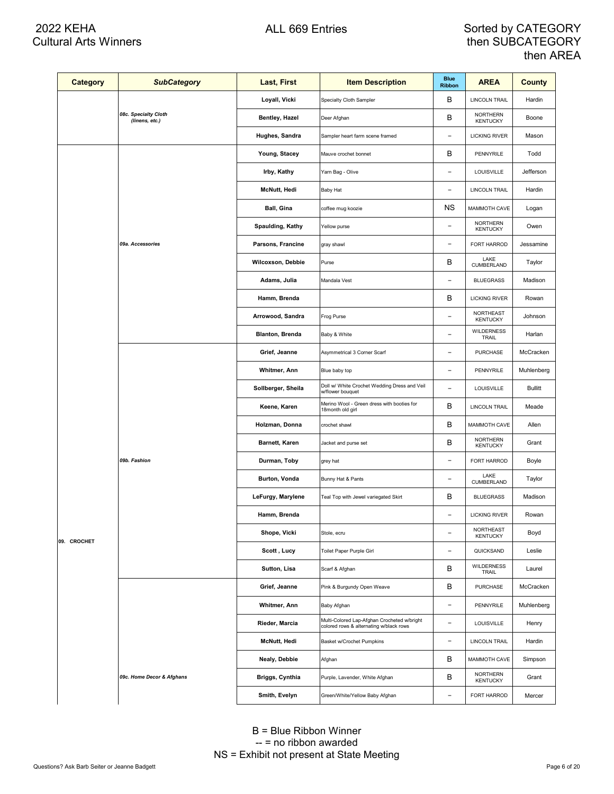| <b>Category</b> | <b>SubCategory</b>                     | Last, First            | <b>Item Description</b>                                                                | <b>Blue</b><br><b>Ribbon</b> | <b>AREA</b>                         | <b>County</b>  |
|-----------------|----------------------------------------|------------------------|----------------------------------------------------------------------------------------|------------------------------|-------------------------------------|----------------|
|                 |                                        | Loyall, Vicki          | Specialty Cloth Sampler                                                                | В                            | <b>LINCOLN TRAIL</b>                | Hardin         |
|                 | 08c. Specialty Cloth<br>(linens, etc.) | Bentley, Hazel         | Deer Afghan                                                                            | В                            | <b>NORTHERN</b><br><b>KENTUCKY</b>  | Boone          |
|                 |                                        | Hughes, Sandra         | Sampler heart farm scene framed                                                        | $\overline{a}$               | <b>LICKING RIVER</b>                | Mason          |
|                 |                                        | Young, Stacey          | Mauve crochet bonnet                                                                   | В                            | PENNYRILE                           | Todd           |
|                 |                                        | Irby, Kathy            | Yarn Bag - Olive                                                                       | $\overline{a}$               | <b>LOUISVILLE</b>                   | Jefferson      |
|                 |                                        | McNutt, Hedi           | <b>Baby Hat</b>                                                                        | $\overline{a}$               | <b>LINCOLN TRAIL</b>                | Hardin         |
|                 |                                        | Ball, Gina             | coffee mug koozie                                                                      | <b>NS</b>                    | MAMMOTH CAVE                        | Logan          |
|                 |                                        | Spaulding, Kathy       | Yellow purse                                                                           | $\overline{a}$               | <b>NORTHERN</b><br><b>KENTUCKY</b>  | Owen           |
|                 | 09a. Accessories                       | Parsons, Francine      | gray shawl                                                                             | $\overline{a}$               | FORT HARROD                         | Jessamine      |
|                 |                                        | Wilcoxson, Debbie      | Purse                                                                                  | B                            | LAKE<br>CUMBERLAND                  | Taylor         |
|                 |                                        | Adams, Julia           | Mandala Vest                                                                           | $\overline{a}$               | <b>BLUEGRASS</b>                    | Madison        |
|                 |                                        | Hamm, Brenda           |                                                                                        | В                            | <b>LICKING RIVER</b>                | Rowan          |
|                 |                                        | Arrowood, Sandra       | Frog Purse                                                                             | $\overline{a}$               | <b>NORTHEAST</b><br><b>KENTUCKY</b> | Johnson        |
|                 |                                        | <b>Blanton, Brenda</b> | Baby & White                                                                           | $\overline{\phantom{0}}$     | <b>WILDERNESS</b><br>TRAIL          | Harlan         |
|                 |                                        | Grief, Jeanne          | Asymmetrical 3 Corner Scarf                                                            | $\overline{a}$               | <b>PURCHASE</b>                     | McCracken      |
|                 |                                        | Whitmer, Ann           | Blue baby top                                                                          | $\overline{\phantom{0}}$     | PENNYRILE                           | Muhlenberg     |
|                 |                                        | Sollberger, Sheila     | Doll w/ White Crochet Wedding Dress and Veil<br>w/flower bouquet                       | $\overline{a}$               | LOUISVILLE                          | <b>Bullitt</b> |
|                 |                                        | Keene, Karen           | Merino Wool - Green dress with booties for<br>18month old girl                         | В                            | <b>LINCOLN TRAIL</b>                | Meade          |
|                 |                                        | Holzman, Donna         | crochet shawl                                                                          | B                            | MAMMOTH CAVE                        | Allen          |
|                 |                                        | Barnett, Karen         | Jacket and purse set                                                                   | В                            | NORTHERN<br><b>KENTUCKY</b>         | Grant          |
|                 | 09b. Fashion                           | Durman, Toby           | grey hat                                                                               | $\overline{\phantom{a}}$     | FORT HARROD                         | Boyle          |
|                 |                                        | Burton, Vonda          | Bunny Hat & Pants                                                                      | $\qquad \qquad -$            | LAKE<br>CUMBERLAND                  | Taylor         |
|                 |                                        | LeFurgy, Marylene      | Teal Top with Jewel variegated Skirt                                                   | В                            | <b>BLUEGRASS</b>                    | Madison        |
|                 |                                        | Hamm, Brenda           |                                                                                        | -                            | <b>LICKING RIVER</b>                | Rowan          |
| 09. CROCHET     |                                        | Shope, Vicki           | Stole, ecru                                                                            | $\overline{\phantom{0}}$     | NORTHEAST<br><b>KENTUCKY</b>        | Boyd           |
|                 |                                        | Scott, Lucy            | Toilet Paper Purple Girl                                                               | $\overline{\phantom{a}}$     | QUICKSAND                           | Leslie         |
|                 |                                        | Sutton, Lisa           | Scarf & Afghan                                                                         | В                            | <b>WILDERNESS</b><br>TRAIL          | Laurel         |
|                 |                                        | Grief, Jeanne          | Pink & Burgundy Open Weave                                                             | B                            | PURCHASE                            | McCracken      |
|                 |                                        | Whitmer, Ann           | Baby Afghan                                                                            | -                            | PENNYRILE                           | Muhlenberg     |
|                 |                                        | Rieder, Marcia         | Multi-Colored Lap-Afghan Crocheted w/bright<br>colored rows & alternating w/black rows | $\overline{\phantom{a}}$     | LOUISVILLE                          | Henry          |
|                 |                                        | <b>McNutt, Hedi</b>    | Basket w/Crochet Pumpkins                                                              | $\overline{\phantom{a}}$     | <b>LINCOLN TRAIL</b>                | Hardin         |
|                 |                                        | Nealy, Debbie          | Afghan                                                                                 | В                            | MAMMOTH CAVE                        | Simpson        |
|                 | 09c. Home Decor & Afghans              | Briggs, Cynthia        | Purple, Lavender, White Afghan                                                         | В                            | <b>NORTHERN</b><br><b>KENTUCKY</b>  | Grant          |
|                 |                                        | Smith, Evelyn          | Green/White/Yellow Baby Afghan                                                         | -                            | FORT HARROD                         | Mercer         |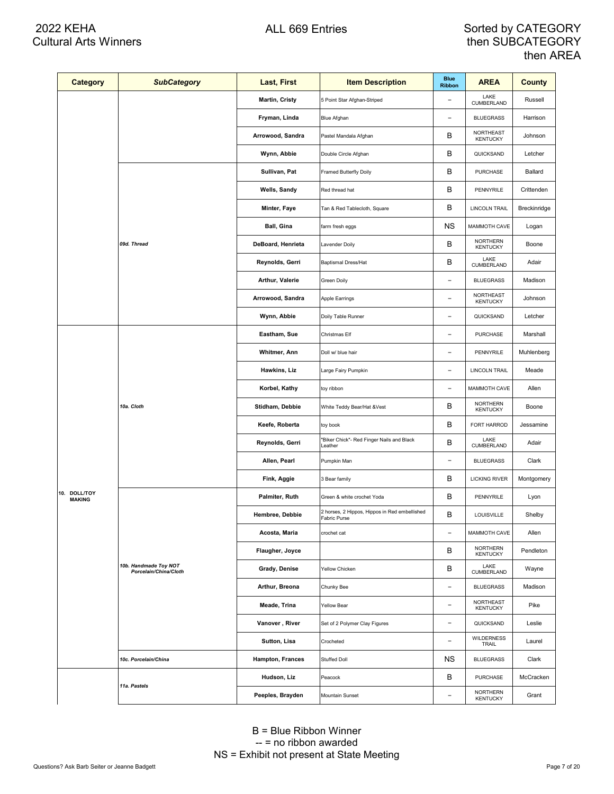| <b>Category</b>               | <b>SubCategory</b>                             | Last, First       | <b>Item Description</b>                                       | <b>Blue</b><br><b>Ribbon</b> | <b>AREA</b>                        | <b>County</b> |
|-------------------------------|------------------------------------------------|-------------------|---------------------------------------------------------------|------------------------------|------------------------------------|---------------|
|                               |                                                | Martin, Cristy    | 5 Point Star Afghan-Striped                                   | $\qquad \qquad -$            | LAKE<br>CUMBERLAND                 | Russell       |
|                               |                                                | Fryman, Linda     | Blue Afghan                                                   | $\overline{\phantom{a}}$     | <b>BLUEGRASS</b>                   | Harrison      |
|                               |                                                | Arrowood, Sandra  | Pastel Mandala Afghan                                         | В                            | NORTHEAST<br>KENTUCKY              | Johnson       |
|                               |                                                | Wynn, Abbie       | Double Circle Afghan                                          | B                            | QUICKSAND                          | Letcher       |
|                               |                                                | Sullivan, Pat     | Framed Butterfly Doily                                        | B                            | PURCHASE                           | Ballard       |
|                               |                                                | Wells, Sandy      | Red thread hat                                                | B                            | PENNYRILE                          | Crittenden    |
|                               |                                                | Minter, Faye      | Tan & Red Tablecloth, Square                                  | B                            | <b>LINCOLN TRAIL</b>               | Breckinridge  |
|                               |                                                | Ball, Gina        | farm fresh eggs                                               | <b>NS</b>                    | MAMMOTH CAVE                       | Logan         |
|                               | 09d. Thread                                    | DeBoard, Henrieta | Lavender Doily                                                | B                            | <b>NORTHERN</b><br><b>KENTUCKY</b> | Boone         |
|                               |                                                | Reynolds, Gerri   | <b>Baptismal Dress/Hat</b>                                    | B                            | LAKE<br>CUMBERLAND                 | Adair         |
|                               |                                                | Arthur, Valerie   | Green Doily                                                   | $\overline{\phantom{a}}$     | <b>BLUEGRASS</b>                   | Madison       |
|                               |                                                | Arrowood, Sandra  | Apple Earrings                                                | $\overline{\phantom{a}}$     | NORTHEAST<br>KENTUCKY              | Johnson       |
|                               |                                                | Wynn, Abbie       | Doily Table Runner                                            | $\qquad \qquad -$            | QUICKSAND                          | Letcher       |
|                               |                                                | Eastham, Sue      | Christmas Elf                                                 | $\overline{a}$               | PURCHASE                           | Marshall      |
|                               |                                                | Whitmer, Ann      | Doll w/ blue hair                                             | $\qquad \qquad -$            | PENNYRILE                          | Muhlenberg    |
|                               |                                                | Hawkins, Liz      | Large Fairy Pumpkin                                           | $\qquad \qquad -$            | <b>LINCOLN TRAIL</b>               | Meade         |
|                               |                                                | Korbel, Kathy     | toy ribbon                                                    | $\overline{\phantom{a}}$     | MAMMOTH CAVE                       | Allen         |
|                               | 10a. Cloth                                     | Stidham, Debbie   | White Teddy Bear/Hat &Vest                                    | B                            | NORTHERN<br><b>KENTUCKY</b>        | Boone         |
|                               |                                                | Keefe, Roberta    | toy book                                                      | B                            | FORT HARROD                        | Jessamine     |
|                               |                                                | Reynolds, Gerri   | "Biker Chick"- Red Finger Nails and Black<br>Leather          | B                            | LAKE<br>CUMBERLAND                 | Adair         |
|                               |                                                | Allen, Pearl      | Pumpkin Man                                                   | $\overline{\phantom{a}}$     | <b>BLUEGRASS</b>                   | Clark         |
|                               |                                                | Fink, Aggie       | 3 Bear family                                                 | B                            | <b>LICKING RIVER</b>               | Montgomery    |
| 10. DOLL/TOY<br><b>MAKING</b> |                                                | Palmiter, Ruth    | Green & white crochet Yoda                                    | B                            | PENNYRILE                          | Lyon          |
|                               |                                                | Hembree, Debbie   | 2 horses, 2 Hippos, Hippos in Red embellished<br>Fabric Purse | B                            | LOUISVILLE                         | Shelby        |
|                               |                                                | Acosta, Maria     | crochet cat                                                   | $\overline{\phantom{a}}$     | MAMMOTH CAVE                       | Allen         |
|                               |                                                | Flaugher, Joyce   |                                                               | в                            | NORTHERN<br><b>KENTUCKY</b>        | Pendleton     |
|                               | 10b. Handmade Toy NOT<br>Porcelain/China/Cloth | Grady, Denise     | Yellow Chicken                                                | B                            | LAKE<br>CUMBERLAND                 | Wayne         |
|                               |                                                | Arthur, Breona    | Chunky Bee                                                    | $\overline{a}$               | <b>BLUEGRASS</b>                   | Madison       |
|                               |                                                | Meade, Trina      | Yellow Bear                                                   |                              | NORTHEAST<br><b>KENTUCKY</b>       | Pike          |
|                               |                                                | Vanover, River    | Set of 2 Polymer Clay Figures                                 | $\overline{a}$               | QUICKSAND                          | Leslie        |
|                               |                                                | Sutton, Lisa      | Crocheted                                                     | $\overline{a}$               | WILDERNESS<br>TRAIL                | Laurel        |
|                               | 10c. Porcelain/China                           | Hampton, Frances  | Stuffed Doll                                                  | <b>NS</b>                    | <b>BLUEGRASS</b>                   | Clark         |
|                               |                                                | Hudson, Liz       | Peacock                                                       | B                            | <b>PURCHASE</b>                    | McCracken     |
|                               | 11a. Pastels                                   | Peeples, Brayden  | Mountain Sunset                                               |                              | <b>NORTHERN</b><br><b>KENTUCKY</b> | Grant         |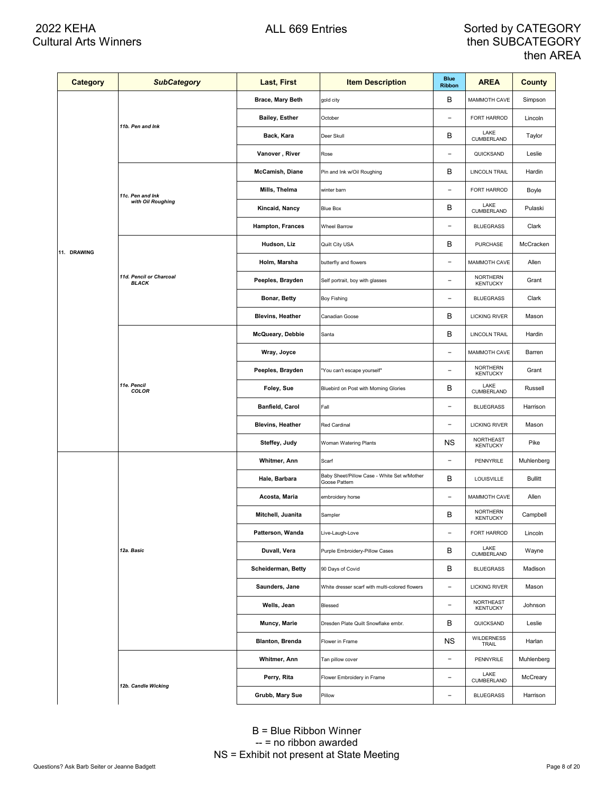| <b>Category</b> | <b>SubCategory</b>                      | Last, First             | <b>Item Description</b>                                      | <b>Blue</b><br><b>Ribbon</b> | <b>AREA</b>                         | <b>County</b>  |
|-----------------|-----------------------------------------|-------------------------|--------------------------------------------------------------|------------------------------|-------------------------------------|----------------|
|                 |                                         | Brace, Mary Beth        | gold city                                                    | в                            | MAMMOTH CAVE                        | Simpson        |
|                 |                                         | <b>Bailey, Esther</b>   | October                                                      | $\overline{a}$               | FORT HARROD                         | Lincoln        |
|                 | 11b. Pen and Ink                        | Back, Kara              | Deer Skull                                                   | в                            | LAKE<br>CUMBERLAND                  | Taylor         |
|                 |                                         | Vanover, River          | Rose                                                         | $\overline{\phantom{0}}$     | QUICKSAND                           | Leslie         |
|                 |                                         | McCamish, Diane         | Pin and Ink w/Oil Roughing                                   | в                            | LINCOLN TRAIL                       | Hardin         |
|                 | 11c. Pen and Ink                        | Mills, Thelma           | winter barn                                                  | $\overline{\phantom{0}}$     | FORT HARROD                         | Boyle          |
|                 | with Oil Roughing                       | Kincaid, Nancy          | Blue Box                                                     | в                            | LAKE<br>CUMBERLAND                  | Pulaski        |
|                 |                                         | Hampton, Frances        | <b>Wheel Barrow</b>                                          | $\overline{\phantom{0}}$     | <b>BLUEGRASS</b>                    | Clark          |
| 11. DRAWING     |                                         | Hudson, Liz             | Quilt City USA                                               | в                            | PURCHASE                            | McCracken      |
|                 |                                         | Holm, Marsha            | butterfly and flowers                                        | $\overline{\phantom{0}}$     | MAMMOTH CAVE                        | Allen          |
|                 | 11d. Pencil or Charcoal<br><b>BLACK</b> | Peeples, Brayden        | Self portrait, boy with glasses                              | $\overline{a}$               | <b>NORTHERN</b><br><b>KENTUCKY</b>  | Grant          |
|                 |                                         | Bonar, Betty            | Boy Fishing                                                  | $\overline{\phantom{0}}$     | <b>BLUEGRASS</b>                    | Clark          |
|                 |                                         | <b>Blevins, Heather</b> | Canadian Goose                                               | В                            | <b>LICKING RIVER</b>                | Mason          |
|                 | 11e. Pencil<br>COLOR                    | McQueary, Debbie        | Santa                                                        | В                            | <b>LINCOLN TRAIL</b>                | Hardin         |
|                 |                                         | Wray, Joyce             |                                                              | $\overline{a}$               | MAMMOTH CAVE                        | Barren         |
|                 |                                         | Peeples, Brayden        | "You can't escape yourself"                                  | $\overline{\phantom{0}}$     | <b>NORTHERN</b><br><b>KENTUCKY</b>  | Grant          |
|                 |                                         | Foley, Sue              | Bluebird on Post with Morning Glories                        | в                            | LAKE<br>CUMBERLAND                  | Russell        |
|                 |                                         | Banfield, Carol         | Fall                                                         | $\overline{\phantom{0}}$     | <b>BLUEGRASS</b>                    | Harrison       |
|                 |                                         | <b>Blevins, Heather</b> | Red Cardinal                                                 | $\overline{a}$               | <b>LICKING RIVER</b>                | Mason          |
|                 |                                         | Steffey, Judy           | Woman Watering Plants                                        | ΝS                           | <b>NORTHEAST</b><br><b>KENTUCKY</b> | Pike           |
|                 |                                         | Whitmer, Ann            | Scarf                                                        | $\overline{a}$               | PENNYRILE                           | Muhlenberg     |
|                 |                                         | Hale, Barbara           | Baby Sheet/Pillow Case - White Set w/Mother<br>Goose Pattern | В                            | LOUISVILLE                          | <b>Bullitt</b> |
|                 |                                         | Acosta, Maria           | embroidery horse                                             | $\overline{a}$               | MAMMOTH CAVE                        | Allen          |
|                 |                                         | Mitchell, Juanita       | Sampler                                                      | в                            | <b>NORTHERN</b><br><b>KENTUCKY</b>  | Campbell       |
|                 |                                         | Patterson, Wanda        | Live-Laugh-Love                                              | $\overline{a}$               | FORT HARROD                         | Lincoln        |
|                 | 12a. Basic                              | Duvall, Vera            | Purple Embroidery-Pillow Cases                               | В                            | LAKE<br>CUMBERLAND                  | Wayne          |
|                 |                                         | Scheiderman, Betty      | 90 Days of Covid                                             | В                            | <b>BLUEGRASS</b>                    | Madison        |
|                 |                                         | Saunders, Jane          | White dresser scarf with multi-colored flowers               | $\overline{a}$               | <b>LICKING RIVER</b>                | Mason          |
|                 |                                         | Wells, Jean             | Blessed                                                      | $\overline{a}$               | <b>NORTHEAST</b><br><b>KENTUCKY</b> | Johnson        |
|                 |                                         | Muncy, Marie            | Dresden Plate Quilt Snowflake embr.                          | В                            | QUICKSAND                           | Leslie         |
|                 |                                         | <b>Blanton, Brenda</b>  | Flower in Frame                                              | <b>NS</b>                    | <b>WILDERNESS</b><br>TRAIL          | Harlan         |
|                 |                                         | Whitmer, Ann            | Tan pillow cover                                             | $\overline{a}$               | PENNYRILE                           | Muhlenberg     |
|                 |                                         | Perry, Rita             | Flower Embroidery in Frame                                   | $\overline{a}$               | LAKE<br>CUMBERLAND                  | McCreary       |
|                 | 12b. Candle Wicking                     | Grubb, Mary Sue         | Pillow                                                       | $\overline{\phantom{a}}$     | <b>BLUEGRASS</b>                    | Harrison       |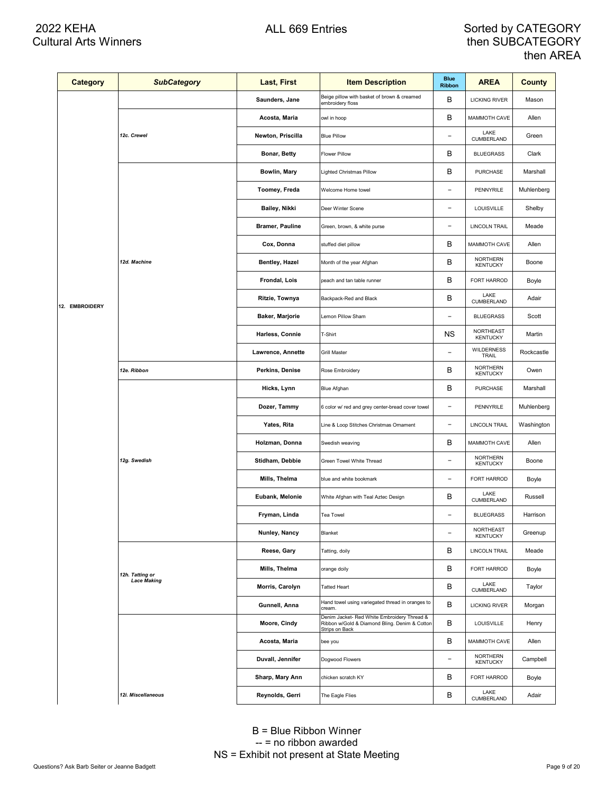| <b>Category</b> | <b>SubCategory</b> | Last, First            | <b>Item Description</b>                                                                                        | <b>Blue</b><br><b>Ribbon</b> | <b>AREA</b>                        | County     |
|-----------------|--------------------|------------------------|----------------------------------------------------------------------------------------------------------------|------------------------------|------------------------------------|------------|
|                 |                    | Saunders, Jane         | Beige pillow with basket of brown & creamed<br>embroidery floss                                                | В                            | <b>LICKING RIVER</b>               | Mason      |
|                 |                    | Acosta, Maria          | owl in hoop                                                                                                    | В                            | MAMMOTH CAVE                       | Allen      |
|                 | 12c. Crewel        | Newton, Priscilla      | <b>Blue Pillow</b>                                                                                             | $\qquad \qquad -$            | LAKE<br>CUMBERLAND                 | Green      |
|                 |                    | Bonar, Betty           | <b>Flower Pillow</b>                                                                                           | в                            | <b>BLUEGRASS</b>                   | Clark      |
|                 |                    | Bowlin, Mary           | Lighted Christmas Pillow                                                                                       | В                            | PURCHASE                           | Marshall   |
|                 |                    | Toomey, Freda          | Welcome Home towel                                                                                             | $\overline{a}$               | PENNYRILE                          | Muhlenberg |
|                 |                    | Bailey, Nikki          | Deer Winter Scene                                                                                              | $\overline{a}$               | LOUISVILLE                         | Shelby     |
|                 |                    | <b>Bramer, Pauline</b> | Green, brown, & white purse                                                                                    | $\qquad \qquad -$            | LINCOLN TRAIL                      | Meade      |
|                 |                    | Cox, Donna             | stuffed diet pillow                                                                                            | В                            | MAMMOTH CAVE                       | Allen      |
|                 | 12d. Machine       | Bentley, Hazel         | Month of the year Afghan                                                                                       | В                            | <b>NORTHERN</b><br><b>KENTUCKY</b> | Boone      |
|                 |                    | Frondal, Lois          | peach and tan table runner                                                                                     | В                            | FORT HARROD                        | Boyle      |
| 12. EMBROIDERY  |                    | Ritzie, Townya         | Backpack-Red and Black                                                                                         | B                            | LAKE<br>CUMBERLAND                 | Adair      |
|                 |                    | Baker, Marjorie        | Lemon Pillow Sham                                                                                              | $\overline{a}$               | <b>BLUEGRASS</b>                   | Scott      |
|                 |                    | Harless, Connie        | T-Shirt                                                                                                        | ΝS                           | NORTHEAST<br><b>KENTUCKY</b>       | Martin     |
|                 |                    | Lawrence, Annette      | <b>Grill Master</b>                                                                                            | $\overline{a}$               | WILDERNESS<br>TRAIL                | Rockcastle |
|                 | 12e. Ribbon        | Perkins, Denise        | Rose Embroidery                                                                                                | B                            | <b>NORTHERN</b><br><b>KENTUCKY</b> | Owen       |
|                 |                    | Hicks, Lynn            | Blue Afghan                                                                                                    | B                            | PURCHASE                           | Marshall   |
|                 |                    | Dozer, Tammy           | 6 color w/ red and grey center-bread cover towel                                                               | $\overline{a}$               | PENNYRILE                          | Muhlenberg |
|                 |                    | Yates, Rita            | Line & Loop Stitches Christmas Ornament                                                                        | $\overline{\phantom{a}}$     | <b>LINCOLN TRAIL</b>               | Washington |
|                 |                    | Holzman, Donna         | Swedish weaving                                                                                                | В                            | MAMMOTH CAVE                       | Allen      |
|                 | 12g. Swedish       | Stidham, Debbie        | Green Towel White Thread                                                                                       | $\qquad \qquad -$            | <b>NORTHERN</b><br><b>KENTUCKY</b> | Boone      |
|                 |                    | Mills, Thelma          | blue and white bookmark                                                                                        | $\overline{a}$               | FORT HARROD                        | Boyle      |
|                 |                    | Eubank, Melonie        | White Afghan with Teal Aztec Design                                                                            | B                            | LAKE<br>CUMBERLAND                 | Russell    |
|                 |                    | Fryman, Linda          | Tea Towel                                                                                                      | $\overline{a}$               | <b>BLUEGRASS</b>                   | Harrison   |
|                 |                    | Nunley, Nancy          | Blanket                                                                                                        | $\overline{a}$               | NORTHEAST<br><b>KENTUCKY</b>       | Greenup    |
|                 |                    | Reese, Gary            | Tatting, doily                                                                                                 | В                            | <b>LINCOLN TRAIL</b>               | Meade      |
|                 | 12h. Tatting or    | Mills, Thelma          | orange doily                                                                                                   | В                            | FORT HARROD                        | Boyle      |
|                 | <b>Lace Making</b> | Morris, Carolyn        | <b>Tatted Heart</b>                                                                                            | В                            | LAKE<br>CUMBERLAND                 | Taylor     |
|                 |                    | Gunnell, Anna          | Hand towel using variegated thread in oranges to<br>cream.                                                     | В                            | <b>LICKING RIVER</b>               | Morgan     |
|                 |                    | Moore, Cindy           | Denim Jacket- Red White Embroidery Thread &<br>Ribbon w/Gold & Diamond Bling. Denim & Cotton<br>Strips on Back | В                            | <b>LOUISVILLE</b>                  | Henry      |
|                 |                    | Acosta, Maria          | bee you                                                                                                        | В                            | MAMMOTH CAVE                       | Allen      |
|                 |                    | Duvall, Jennifer       | Dogwood Flowers                                                                                                | $\qquad \qquad -$            | <b>NORTHERN</b><br><b>KENTUCKY</b> | Campbell   |
|                 |                    | Sharp, Mary Ann        | chicken scratch KY                                                                                             | В                            | FORT HARROD                        | Boyle      |
|                 | 12i. Miscellaneous | Reynolds, Gerri        | The Eagle Flies                                                                                                | В                            | LAKE<br>CUMBERLAND                 | Adair      |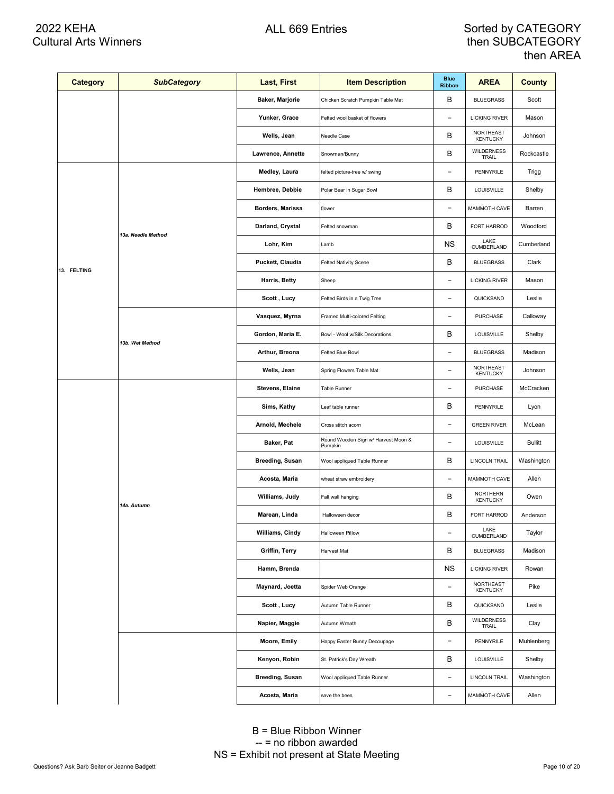| <b>Category</b> | <b>SubCategory</b> | Last, First                    | <b>Item Description</b>                        | <b>Blue</b><br><b>Ribbon</b> | <b>AREA</b>                  | <b>County</b>  |
|-----------------|--------------------|--------------------------------|------------------------------------------------|------------------------------|------------------------------|----------------|
|                 |                    | Baker, Marjorie                | Chicken Scratch Pumpkin Table Mat              | в                            | <b>BLUEGRASS</b>             | Scott          |
|                 |                    | Yunker, Grace                  | Felted wool basket of flowers                  | $\qquad \qquad -$            | <b>LICKING RIVER</b>         | Mason          |
|                 |                    | Wells, Jean                    | Needle Case                                    | В                            | NORTHEAST<br><b>KENTUCKY</b> | Johnson        |
|                 |                    | Lawrence, Annette              | Snowman/Bunny                                  | В                            | <b>WILDERNESS</b><br>TRAIL   | Rockcastle     |
|                 |                    | Medley, Laura                  | felted picture-tree w/ swing                   | $\qquad \qquad -$            | PENNYRILE                    | Trigg          |
|                 |                    | Hembree, Debbie                | Polar Bear in Sugar Bowl                       | В                            | LOUISVILLE                   | Shelby         |
|                 |                    | Borders, Marissa               | flower                                         | $\overline{\phantom{a}}$     | MAMMOTH CAVE                 | Barren         |
|                 | 13a. Needle Method | Darland, Crystal               | Felted snowman                                 | в                            | FORT HARROD                  | Woodford       |
|                 |                    | Lohr, Kim                      | Lamb                                           | ΝS                           | LAKE<br>CUMBERLAND           | Cumberland     |
| 13. FELTING     |                    | Puckett, Claudia               | <b>Felted Nativity Scene</b>                   | В                            | <b>BLUEGRASS</b>             | Clark          |
|                 |                    | Harris, Betty                  | Sheep                                          | $\qquad \qquad -$            | <b>LICKING RIVER</b>         | Mason          |
|                 |                    | Scott, Lucy                    | Felted Birds in a Twig Tree                    | $\overline{a}$               | QUICKSAND                    | Leslie         |
|                 |                    | Vasquez, Myrna                 | Framed Multi-colored Felting                   | $\qquad \qquad -$            | <b>PURCHASE</b>              | Calloway       |
| 13b. Wet Method | Gordon, Maria E.   | Bowl - Wool w/Silk Decorations | В                                              | LOUISVILLE                   | Shelby                       |                |
|                 |                    | Arthur, Breona                 | Felted Blue Bowl                               | $\qquad \qquad -$            | <b>BLUEGRASS</b>             | Madison        |
|                 |                    | Wells, Jean                    | Spring Flowers Table Mat                       | $\overline{a}$               | NORTHEAST<br><b>KENTUCKY</b> | Johnson        |
|                 |                    | Stevens, Elaine                | Table Runner                                   | $\qquad \qquad -$            | <b>PURCHASE</b>              | McCracken      |
|                 |                    | Sims, Kathy                    | Leaf table runner                              | В                            | PENNYRILE                    | Lyon           |
|                 |                    | Arnold, Mechele                | Cross stitch acorn                             | $\overline{\phantom{a}}$     | <b>GREEN RIVER</b>           | McLean         |
|                 |                    | Baker, Pat                     | Round Wooden Sign w/ Harvest Moon &<br>Pumpkin | $\qquad \qquad -$            | LOUISVILLE                   | <b>Bullitt</b> |
|                 |                    | <b>Breeding, Susan</b>         | Wool appliqued Table Runner                    | В                            | <b>LINCOLN TRAIL</b>         | Washington     |
|                 |                    | Acosta, Maria                  | wheat straw embroidery                         | $\qquad \qquad -$            | MAMMOTH CAVE                 | Allen          |
|                 | 14a. Autumn        | Williams, Judy                 | Fall wall hanging                              | В                            | NORTHERN<br><b>KENTUCKY</b>  | Owen           |
|                 |                    | Marean, Linda                  | Halloween decor                                | В                            | FORT HARROD                  | Anderson       |
|                 |                    | Williams, Cindy                | Halloween Pillow                               | $\overline{\phantom{a}}$     | LAKE<br>CUMBERLAND           | Taylor         |
|                 |                    | Griffin, Terry                 | Harvest Mat                                    | В                            | <b>BLUEGRASS</b>             | Madison        |
|                 |                    | Hamm, Brenda                   |                                                | ΝS                           | <b>LICKING RIVER</b>         | Rowan          |
|                 |                    | Maynard, Joetta                | Spider Web Orange                              | $\overline{\phantom{a}}$     | NORTHEAST<br><b>KENTUCKY</b> | Pike           |
|                 |                    | Scott, Lucy                    | Autumn Table Runner                            | в                            | QUICKSAND                    | Leslie         |
|                 |                    | Napier, Maggie                 | Autumn Wreath                                  | В                            | WILDERNESS<br>TRAIL          | Clay           |
|                 |                    | Moore, Emily                   | Happy Easter Bunny Decoupage                   | $\qquad \qquad -$            | PENNYRILE                    | Muhlenberg     |
|                 |                    | Kenyon, Robin                  | St. Patrick's Day Wreath                       | в                            | LOUISVILLE                   | Shelby         |
|                 |                    | <b>Breeding, Susan</b>         | Wool appliqued Table Runner                    | $\qquad \qquad -$            | LINCOLN TRAIL                | Washington     |
|                 |                    | Acosta, Maria                  | save the bees                                  | $\qquad \qquad -$            | MAMMOTH CAVE                 | Allen          |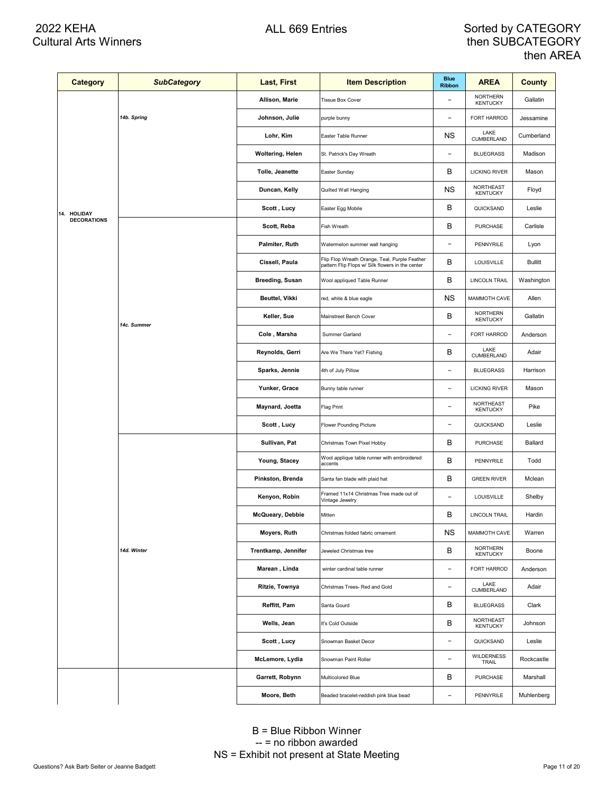# 2022 KEHA Cultural Arts Winners

### ALL 669 Entries **Sorted by CATEGORY** then SUBCATEGORY then AREA

| <b>Category</b>    | <b>SubCategory</b> | Last, First         | <b>Item Description</b>                                                                           | <b>Blue</b><br><b>Ribbon</b> | <b>AREA</b>                         | <b>County</b>  |
|--------------------|--------------------|---------------------|---------------------------------------------------------------------------------------------------|------------------------------|-------------------------------------|----------------|
|                    |                    | Allison, Marie      | <b>Tissue Box Cover</b>                                                                           | $\overline{\phantom{a}}$     | <b>NORTHERN</b><br><b>KENTUCKY</b>  | Gallatin       |
|                    | 14b. Spring        | Johnson, Julie      | purple bunny                                                                                      | $\qquad \qquad -$            | FORT HARROD                         | Jessamine      |
|                    |                    | Lohr, Kim           | Easter Table Runner                                                                               | ΝS                           | LAKE<br>CUMBERLAND                  | Cumberland     |
|                    |                    | Woltering, Helen    | St. Patrick's Day Wreath                                                                          | $\qquad \qquad -$            | <b>BLUEGRASS</b>                    | Madison        |
|                    |                    | Tolle, Jeanette     | Easter Sunday                                                                                     | в                            | <b>LICKING RIVER</b>                | Mason          |
|                    |                    | Duncan, Kelly       | Quilted Wall Hanging                                                                              | ΝS                           | NORTHEAST<br><b>KENTUCKY</b>        | Floyd          |
| 14. HOLIDAY        |                    | Scott, Lucy         | Easter Egg Mobile                                                                                 | В                            | QUICKSAND                           | Leslie         |
| <b>DECORATIONS</b> |                    | Scott, Reba         | Fish Wreath                                                                                       | в                            | <b>PURCHASE</b>                     | Carlisle       |
|                    |                    | Palmiter, Ruth      | Watermelon summer wall hanging                                                                    | $\qquad \qquad -$            | PENNYRILE                           | Lyon           |
|                    |                    | Cissell, Paula      | Flip Flop Wreath Orange, Teal, Purple Feather<br>pattern Flip Flops w/ Silk flowers in the center | в                            | LOUISVILLE                          | <b>Bullitt</b> |
|                    |                    | Breeding, Susan     | Wool appliqued Table Runner                                                                       | В                            | <b>LINCOLN TRAIL</b>                | Washington     |
|                    |                    | Beuttel, Vikki      | red, white & blue eagle                                                                           | ΝS                           | MAMMOTH CAVE                        | Allen          |
|                    | 14c. Summer        | Keller, Sue         | Mainstreet Bench Cover                                                                            | В                            | <b>NORTHERN</b><br><b>KENTUCKY</b>  | Gallatin       |
|                    |                    | Cole, Marsha        | Summer Garland                                                                                    | $\qquad \qquad -$            | FORT HARROD                         | Anderson       |
|                    |                    | Reynolds, Gerri     | Are We There Yet? Fishing                                                                         | В                            | LAKE<br>CUMBERLAND                  | Adair          |
|                    |                    | Sparks, Jennie      | 4th of July Pillow                                                                                | $\qquad \qquad -$            | <b>BLUEGRASS</b>                    | Harrison       |
|                    |                    | Yunker, Grace       | Bunny table runner                                                                                | $\qquad \qquad -$            | <b>LICKING RIVER</b>                | Mason          |
|                    |                    | Maynard, Joetta     | Flag Print                                                                                        | $\qquad \qquad -$            | NORTHEAST<br><b>KENTUCKY</b>        | Pike           |
|                    |                    | Scott, Lucy         | Flower Pounding Picture                                                                           | $\overline{a}$               | QUICKSAND                           | Leslie         |
|                    |                    | Sullivan, Pat       | Christmas Town Pixel Hobby                                                                        | в                            | <b>PURCHASE</b>                     | Ballard        |
|                    |                    | Young, Stacey       | Wool applique table runner with embroidered<br>accents                                            | В                            | PENNYRILE                           | Todd           |
|                    |                    | Pinkston, Brenda    | Santa fan blade with plaid hat                                                                    | В                            | <b>GREEN RIVER</b>                  | Mclean         |
|                    |                    | Kenyon, Robin       | Framed 11x14 Christmas Tree made out of<br>Vintage Jewelry                                        | $\qquad \qquad -$            | LOUISVILLE                          | Shelby         |
|                    |                    | McQueary, Debbie    | Mitten                                                                                            | в                            | <b>LINCOLN TRAIL</b>                | Hardin         |
|                    |                    | Moyers, Ruth        | Christmas folded fabric ornament                                                                  | ΝS                           | MAMMOTH CAVE                        | Warren         |
|                    | 14d. Winter        | Trentkamp, Jennifer | Jeweled Christmas tree                                                                            | в                            | <b>NORTHERN</b><br><b>KENTUCKY</b>  | Boone          |
|                    |                    | Marean, Linda       | winter cardinal table runner                                                                      | $\overline{a}$               | FORT HARROD                         | Anderson       |
|                    |                    | Ritzie, Townya      | Christmas Trees- Red and Gold                                                                     | $\overline{a}$               | LAKE<br>CUMBERLAND                  | Adair          |
|                    |                    | Reffitt, Pam        | Santa Gourd                                                                                       | в                            | <b>BLUEGRASS</b>                    | Clark          |
|                    |                    | Wells, Jean         | It's Cold Outside                                                                                 | в                            | <b>NORTHEAST</b><br><b>KENTUCKY</b> | Johnson        |
|                    |                    | Scott, Lucy         | Snowman Basket Decor                                                                              | $\overline{a}$               | QUICKSAND                           | Leslie         |
|                    |                    | McLemore, Lydia     | Snowman Paint Roller                                                                              | $\overline{a}$               | <b>WILDERNESS</b><br>TRAIL          | Rockcastle     |
|                    |                    | Garrett, Robynn     | Multicolored Blue                                                                                 | в                            | PURCHASE                            | Marshall       |
|                    |                    | Moore, Beth         | Beaded bracelet-reddish pink blue bead                                                            | $\qquad \qquad -$            | PENNYRILE                           | Muhlenberg     |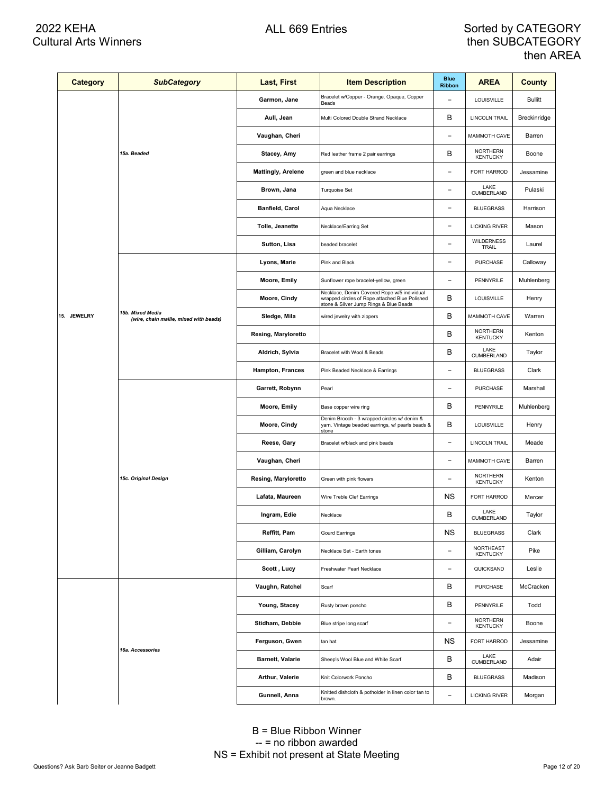| <b>Category</b> | <b>SubCategory</b>                                         | Last, First               | <b>Item Description</b>                                                                                                                 | <b>Blue</b><br><b>Ribbon</b> | <b>AREA</b>                        | <b>County</b>  |
|-----------------|------------------------------------------------------------|---------------------------|-----------------------------------------------------------------------------------------------------------------------------------------|------------------------------|------------------------------------|----------------|
|                 |                                                            | Garmon, Jane              | Bracelet w/Copper - Orange, Opaque, Copper<br>Beads                                                                                     | $\overline{\phantom{a}}$     | LOUISVILLE                         | <b>Bullitt</b> |
|                 |                                                            | Aull, Jean                | Multi Colored Double Strand Necklace                                                                                                    | В                            | LINCOLN TRAIL                      | Breckinridge   |
|                 |                                                            | Vaughan, Cheri            |                                                                                                                                         | $\qquad \qquad -$            | MAMMOTH CAVE                       | Barren         |
|                 | 15a. Beaded                                                | Stacey, Amy               | Red leather frame 2 pair earrings                                                                                                       | В                            | <b>NORTHERN</b><br><b>KENTUCKY</b> | Boone          |
|                 |                                                            | <b>Mattingly, Arelene</b> | green and blue necklace                                                                                                                 | $\qquad \qquad -$            | <b>FORT HARROD</b>                 | Jessamine      |
|                 |                                                            | Brown, Jana               | Turquoise Set                                                                                                                           | $\overline{a}$               | LAKE<br><b>CUMBERLAND</b>          | Pulaski        |
|                 |                                                            | Banfield, Carol           | Aqua Necklace                                                                                                                           | $\qquad \qquad -$            | <b>BLUEGRASS</b>                   | Harrison       |
|                 |                                                            | Tolle, Jeanette           | Necklace/Earring Set                                                                                                                    | $\qquad \qquad -$            | <b>LICKING RIVER</b>               | Mason          |
|                 |                                                            | Sutton, Lisa              | beaded bracelet                                                                                                                         | $\qquad \qquad -$            | <b>WILDERNESS</b><br>TRAIL         | Laurel         |
|                 |                                                            | Lyons, Marie              | Pink and Black                                                                                                                          | $\qquad \qquad -$            | <b>PURCHASE</b>                    | Calloway       |
|                 |                                                            | Moore, Emily              | Sunflower rope bracelet-yellow, green                                                                                                   | $\qquad \qquad -$            | PENNYRILE                          | Muhlenberg     |
|                 |                                                            | Moore, Cindy              | Necklace, Denim Covered Rope w/5 individual<br>wrapped circles of Rope attached Blue Polished<br>stone & Silver Jump Rings & Blue Beads | В                            | LOUISVILLE                         | Henry          |
| 15. JEWELRY     | 15b. Mixed Media<br>(wire, chain maille, mixed with beads) | Sledge, Mila              | wired jewelry with zippers                                                                                                              | В                            | MAMMOTH CAVE                       | Warren         |
|                 |                                                            | Resing, Maryloretto       |                                                                                                                                         | В                            | <b>NORTHERN</b><br><b>KENTUCKY</b> | Kenton         |
|                 |                                                            | Aldrich, Sylvia           | Bracelet with Wool & Beads                                                                                                              | B                            | LAKE<br>CUMBERLAND                 | Taylor         |
|                 |                                                            | <b>Hampton, Frances</b>   | Pink Beaded Necklace & Earrings                                                                                                         | $\overline{a}$               | <b>BLUEGRASS</b>                   | Clark          |
|                 |                                                            | Garrett, Robynn           | Pearl                                                                                                                                   | $\overline{a}$               | <b>PURCHASE</b>                    | Marshall       |
|                 |                                                            | Moore, Emily              | Base copper wire ring                                                                                                                   | B                            | PENNYRILE                          | Muhlenberg     |
|                 |                                                            | Moore, Cindy              | Denim Brooch - 3 wrapped circles w/ denim &<br>yarn. Vintage beaded earrings, w/ pearls beads &<br>stone                                | В                            | LOUISVILLE                         | Henry          |
|                 |                                                            | Reese, Gary               | Bracelet w/black and pink beads                                                                                                         | $\qquad \qquad -$            | <b>LINCOLN TRAIL</b>               | Meade          |
|                 |                                                            | Vaughan, Cheri            |                                                                                                                                         | $\qquad \qquad -$            | MAMMOTH CAVE                       | Barren         |
|                 | 15c. Original Design                                       | Resing, Maryloretto       | Green with pink flowers                                                                                                                 | $\qquad \qquad -$            | <b>NORTHERN</b><br><b>KENTUCKY</b> | Kenton         |
|                 |                                                            | Lafata, Maureen           | Wire Treble Clef Earrings                                                                                                               | ΝS                           | FORT HARROD                        | Mercer         |
|                 |                                                            | Ingram, Edie              | Necklace                                                                                                                                | B                            | LAKE<br><b>CUMBERLAND</b>          | Taylor         |
|                 |                                                            | Reffitt, Pam              | <b>Gourd Earrings</b>                                                                                                                   | <b>NS</b>                    | <b>BLUEGRASS</b>                   | Clark          |
|                 |                                                            | Gilliam, Carolyn          | Necklace Set - Earth tones                                                                                                              | $\overline{\phantom{a}}$     | NORTHEAST<br><b>KENTUCKY</b>       | Pike           |
|                 |                                                            | Scott, Lucy               | Freshwater Pearl Necklace                                                                                                               | $\overline{\phantom{a}}$     | QUICKSAND                          | Leslie         |
|                 |                                                            | Vaughn, Ratchel           | Scarf                                                                                                                                   | в                            | PURCHASE                           | McCracken      |
|                 |                                                            | Young, Stacey             | Rusty brown poncho                                                                                                                      | В                            | PENNYRILE                          | Todd           |
|                 |                                                            | Stidham, Debbie           | Blue stripe long scarf                                                                                                                  | $\qquad \qquad -$            | NORTHERN<br><b>KENTUCKY</b>        | Boone          |
|                 | 16a. Accessories                                           | Ferguson, Gwen            | tan hat                                                                                                                                 | NS.                          | FORT HARROD                        | Jessamine      |
|                 |                                                            | <b>Barnett, Valarie</b>   | Sheep's Wool Blue and White Scarf                                                                                                       | В                            | LAKE<br>CUMBERLAND                 | Adair          |
|                 |                                                            | Arthur, Valerie           | Knit Colorwork Poncho                                                                                                                   | В                            | <b>BLUEGRASS</b>                   | Madison        |
|                 |                                                            | Gunnell, Anna             | Knitted dishcloth & potholder in linen color tan to<br>brown.                                                                           | $\overline{\phantom{a}}$     | <b>LICKING RIVER</b>               | Morgan         |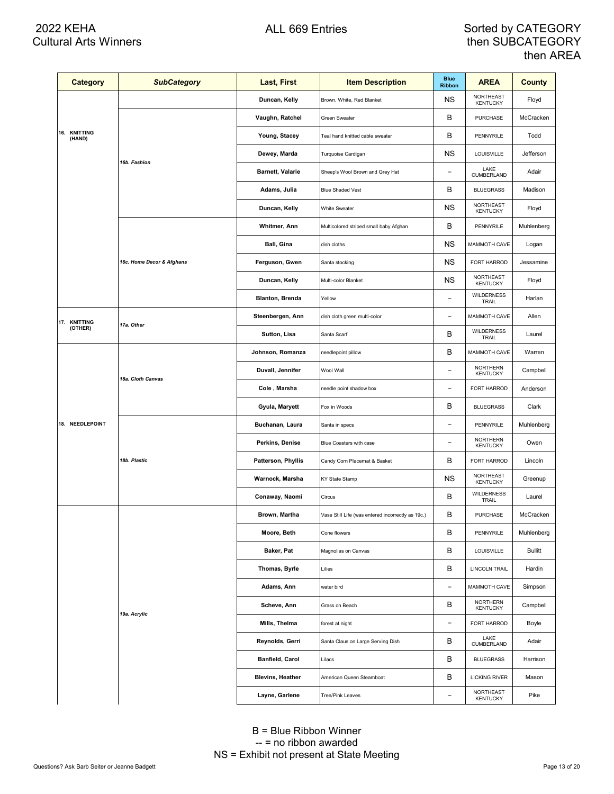| <b>Category</b>        | <b>SubCategory</b>        | <b>Last, First</b>        | <b>Item Description</b>                           | <b>Blue</b><br><b>Ribbon</b> | <b>AREA</b>                        | County         |
|------------------------|---------------------------|---------------------------|---------------------------------------------------|------------------------------|------------------------------------|----------------|
|                        |                           | Duncan, Kelly             | Brown, White, Red Blanket                         | ΝS                           | NORTHEAST<br><b>KENTUCKY</b>       | Floyd          |
| 16. KNITTING<br>(HAND) |                           | Vaughn, Ratchel           | Green Sweater                                     | в                            | <b>PURCHASE</b>                    | McCracken      |
|                        |                           | Young, Stacey             | Teal hand knitted cable sweater                   | в                            | PENNYRILE                          | Todd           |
|                        | 16b. Fashion              | Dewey, Marda              | Turquoise Cardigan                                | ΝS                           | LOUISVILLE                         | Jefferson      |
|                        |                           | <b>Barnett, Valarie</b>   | Sheep's Wool Brown and Grey Hat                   | $\qquad \qquad -$            | LAKE<br>CUMBERLAND                 | Adair          |
|                        |                           | Adams, Julia              | <b>Blue Shaded Vest</b>                           | В                            | <b>BLUEGRASS</b>                   | Madison        |
|                        |                           | Duncan, Kelly             | <b>White Sweater</b>                              | ΝS                           | NORTHEAST<br><b>KENTUCKY</b>       | Floyd          |
|                        |                           | Whitmer, Ann              | Multicolored striped small baby Afghan            | В                            | PENNYRILE                          | Muhlenberg     |
|                        |                           | Ball, Gina                | dish cloths                                       | ΝS                           | MAMMOTH CAVE                       | Logan          |
|                        | 16c. Home Decor & Afghans | Ferguson, Gwen            | Santa stocking                                    | ΝS                           | FORT HARROD                        | Jessamine      |
|                        |                           | Duncan, Kelly             | Multi-color Blanket                               | ΝS                           | NORTHEAST<br><b>KENTUCKY</b>       | Floyd          |
|                        |                           | <b>Blanton, Brenda</b>    | Yellow                                            | $\overline{a}$               | <b>WILDERNESS</b><br>TRAIL         | Harlan         |
| 17. KNITTING           | 17a. Other                | Steenbergen, Ann          | dish cloth green multi-color                      | $\qquad \qquad -$            | MAMMOTH CAVE                       | Allen          |
| (OTHER)                |                           | Sutton, Lisa              | Santa Scarf                                       | В                            | <b>WILDERNESS</b><br>TRAIL         | Laurel         |
|                        | 18a. Cloth Canvas         | Johnson, Romanza          | needlepoint pillow                                | В                            | MAMMOTH CAVE                       | Warren         |
|                        |                           | Duvall, Jennifer          | Wool Wall                                         | $\overline{a}$               | <b>NORTHERN</b><br><b>KENTUCKY</b> | Campbell       |
|                        |                           | Cole , Marsha             | needle point shadow box                           | $\qquad \qquad -$            | FORT HARROD                        | Anderson       |
|                        |                           | Gyula, Maryett            | Fox in Woods                                      | В                            | <b>BLUEGRASS</b>                   | Clark          |
| 18. NEEDLEPOINT        | 18b. Plastic              | Buchanan, Laura           | Santa in specs                                    | $\overline{a}$               | PENNYRILE                          | Muhlenberg     |
|                        |                           | Perkins, Denise           | Blue Coasters with case                           | $\qquad \qquad -$            | <b>NORTHERN</b><br><b>KENTUCKY</b> | Owen           |
|                        |                           | <b>Patterson, Phyllis</b> | Candy Corn Placemat & Basket                      | В                            | FORT HARROD                        | Lincoln        |
|                        |                           | Warnock, Marsha           | KY State Stamp                                    | ΝS                           | NORTHEAST<br><b>KENTUCKY</b>       | Greenup        |
|                        |                           | Conaway, Naomi            | Circus                                            | В                            | <b>WILDERNESS</b><br>TRAIL         | Laurel         |
|                        |                           | Brown, Martha             | Vase Still Life (was entered incorrectly as 19c.) | в                            | <b>PURCHASE</b>                    | McCracken      |
|                        |                           | Moore, Beth               | Cone flowers                                      | В                            | PENNYRILE                          | Muhlenberg     |
|                        |                           | Baker, Pat                | Magnolias on Canvas                               | В                            | LOUISVILLE                         | <b>Bullitt</b> |
|                        |                           | Thomas, Byrle             | Lilies                                            | В                            | <b>LINCOLN TRAIL</b>               | Hardin         |
|                        |                           | Adams, Ann                | water bird                                        | $\overline{a}$               | MAMMOTH CAVE                       | Simpson        |
|                        | 19a. Acrylic              | Scheve, Ann               | Grass on Beach                                    | В                            | <b>NORTHERN</b><br><b>KENTUCKY</b> | Campbell       |
|                        |                           | Mills, Thelma             | forest at night                                   | $\qquad \qquad -$            | FORT HARROD                        | Boyle          |
|                        |                           | Reynolds, Gerri           | Santa Claus on Large Serving Dish                 | B                            | LAKE<br>CUMBERLAND                 | Adair          |
|                        |                           | Banfield, Carol           | Lilacs                                            | B                            | <b>BLUEGRASS</b>                   | Harrison       |
|                        |                           | <b>Blevins, Heather</b>   | American Queen Steamboat                          | В                            | <b>LICKING RIVER</b>               | Mason          |
|                        |                           | Layne, Garlene            | <b>Tree/Pink Leaves</b>                           | $\overline{a}$               | NORTHEAST<br><b>KENTUCKY</b>       | Pike           |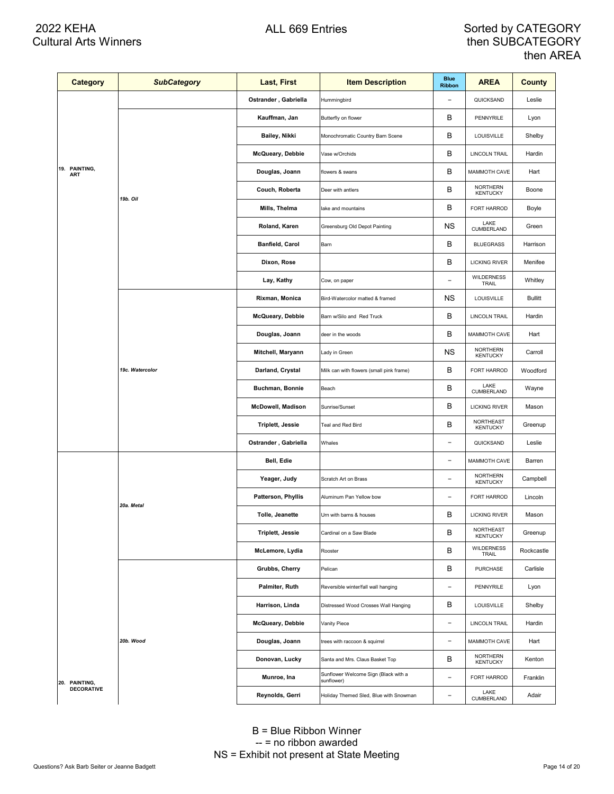| <b>Category</b>             | <b>SubCategory</b> | Last, First              | <b>Item Description</b>                            | <b>Blue</b><br><b>Ribbon</b> | <b>AREA</b>                        | <b>County</b>  |
|-----------------------------|--------------------|--------------------------|----------------------------------------------------|------------------------------|------------------------------------|----------------|
|                             |                    | Ostrander, Gabriella     | Hummingbird                                        |                              | QUICKSAND                          | Leslie         |
|                             |                    | Kauffman, Jan            | Butterfly on flower                                | в                            | PENNYRILE                          | Lyon           |
|                             |                    | Bailey, Nikki            | Monochromatic Country Barn Scene                   | В                            | LOUISVILLE                         | Shelby         |
|                             |                    | McQueary, Debbie         | Vase w/Orchids                                     | В                            | <b>LINCOLN TRAIL</b>               | Hardin         |
| 19. PAINTING,<br><b>ART</b> |                    | Douglas, Joann           | flowers & swans                                    | В                            | MAMMOTH CAVE                       | Hart           |
|                             | 19b. Oil           | Couch, Roberta           | Deer with antlers                                  | В                            | <b>NORTHERN</b><br><b>KENTUCKY</b> | Boone          |
|                             |                    | Mills, Thelma            | lake and mountains                                 | В                            | FORT HARROD                        | Boyle          |
|                             |                    | Roland, Karen            | Greensburg Old Depot Painting                      | ΝS                           | LAKE<br>CUMBERLAND                 | Green          |
|                             |                    | Banfield, Carol          | Barn                                               | В                            | <b>BLUEGRASS</b>                   | Harrison       |
|                             |                    | Dixon, Rose              |                                                    | В                            | <b>LICKING RIVER</b>               | Menifee        |
|                             |                    | Lay, Kathy               | Cow, on paper                                      | $\qquad \qquad -$            | <b>WILDERNESS</b><br>TRAIL         | Whitley        |
|                             | 19c. Watercolor    | Rixman, Monica           | Bird-Watercolor matted & framed                    | ΝS                           | LOUISVILLE                         | <b>Bullitt</b> |
|                             |                    | McQueary, Debbie         | Barn w/Silo and Red Truck                          | В                            | <b>LINCOLN TRAIL</b>               | Hardin         |
|                             |                    | Douglas, Joann           | deer in the woods                                  | В                            | MAMMOTH CAVE                       | Hart           |
|                             |                    | Mitchell, Maryann        | Lady in Green                                      | ΝS                           | NORTHERN<br><b>KENTUCKY</b>        | Carroll        |
|                             |                    | Darland, Crystal         | Milk can with flowers (small pink frame)           | В                            | FORT HARROD                        | Woodford       |
|                             |                    | Buchman, Bonnie          | Beach                                              | В                            | LAKE<br>CUMBERLAND                 | Wayne          |
|                             |                    | <b>McDowell, Madison</b> | Sunrise/Sunset                                     | В                            | <b>LICKING RIVER</b>               | Mason          |
|                             |                    | Triplett, Jessie         | Teal and Red Bird                                  | В                            | NORTHEAST<br><b>KENTUCKY</b>       | Greenup        |
|                             |                    | Ostrander, Gabriella     | Whales                                             | $\overline{\phantom{0}}$     | QUICKSAND                          | Leslie         |
|                             | 20a. Metal         | Bell, Edie               |                                                    | $\qquad \qquad -$            | MAMMOTH CAVE                       | Barren         |
|                             |                    | Yeager, Judy             | Scratch Art on Brass                               | $\overline{\phantom{0}}$     | NORTHERN<br><b>KENTUCKY</b>        | Campbell       |
|                             |                    | Patterson, Phyllis       | Aluminum Pan Yellow bow                            | $\qquad \qquad -$            | FORT HARROD                        | Lincoln        |
|                             |                    | Tolle, Jeanette          | Urn with barns & houses                            | В                            | <b>LICKING RIVER</b>               | Mason          |
|                             |                    | <b>Triplett, Jessie</b>  | Cardinal on a Saw Blade                            | B                            | NORTHEAST<br><b>KENTUCKY</b>       | Greenup        |
|                             |                    | McLemore, Lydia          | Rooster                                            | В                            | <b>WILDERNESS</b><br>TRAIL         | Rockcastle     |
|                             |                    | Grubbs, Cherry           | Pelican                                            | В                            | PURCHASE                           | Carlisle       |
|                             |                    | Palmiter, Ruth           | Reversible winter/fall wall hanging                | $\overline{\phantom{0}}$     | PENNYRILE                          | Lyon           |
|                             |                    | Harrison, Linda          | Distressed Wood Crosses Wall Hanging               | В                            | <b>LOUISVILLE</b>                  | Shelby         |
|                             |                    | McQueary, Debbie         | Vanity Piece                                       | $\qquad \qquad -$            | <b>LINCOLN TRAIL</b>               | Hardin         |
|                             | 20b. Wood          | Douglas, Joann           | trees with raccoon & squirrel                      | $\overline{\phantom{0}}$     | MAMMOTH CAVE                       | Hart           |
|                             |                    | Donovan, Lucky           | Santa and Mrs. Claus Basket Top                    | в                            | <b>NORTHERN</b><br><b>KENTUCKY</b> | Kenton         |
| 20. PAINTING,               |                    | Munroe, Ina              | Sunflower Welcome Sign (Black with a<br>sunflower) | $\overline{\phantom{0}}$     | FORT HARROD                        | Franklin       |
| <b>DECORATIVE</b>           |                    | Reynolds, Gerri          | Holiday Themed Sled, Blue with Snowman             | $\overline{\phantom{0}}$     | LAKE<br>CUMBERLAND                 | Adair          |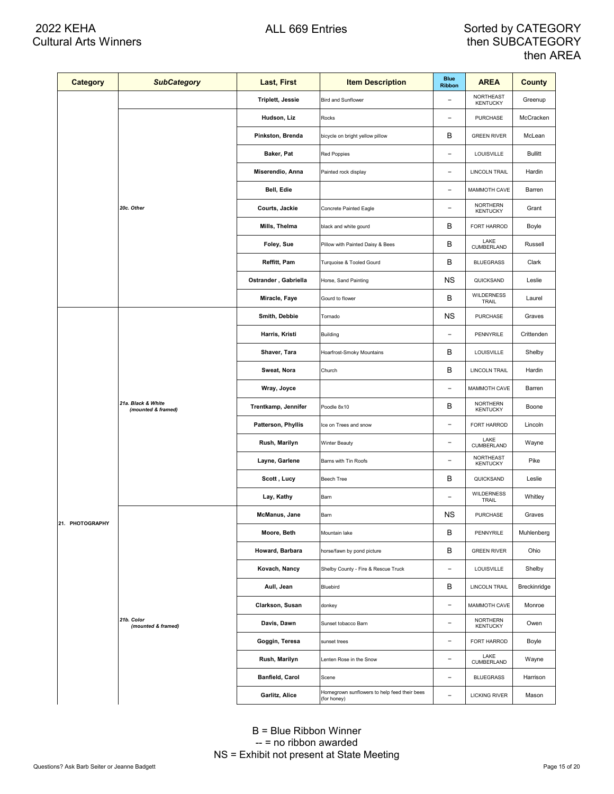| Category        | <b>SubCategory</b>                       | Last, First             | <b>Item Description</b>                                     | <b>Blue</b><br><b>Ribbon</b> | <b>AREA</b>                         | County         |
|-----------------|------------------------------------------|-------------------------|-------------------------------------------------------------|------------------------------|-------------------------------------|----------------|
|                 |                                          | <b>Triplett, Jessie</b> | <b>Bird and Sunflower</b>                                   | ۰                            | NORTHEAST<br><b>KENTUCKY</b>        | Greenup        |
|                 |                                          | Hudson, Liz             | Rocks                                                       | $\overline{\phantom{0}}$     | <b>PURCHASE</b>                     | McCracken      |
|                 |                                          | Pinkston, Brenda        | bicycle on bright yellow pillow                             | в                            | <b>GREEN RIVER</b>                  | McLean         |
|                 |                                          | Baker, Pat              | Red Poppies                                                 | $\overline{\phantom{0}}$     | LOUISVILLE                          | <b>Bullitt</b> |
|                 |                                          | Miserendio, Anna        | Painted rock display                                        | $\overline{a}$               | LINCOLN TRAIL                       | Hardin         |
|                 |                                          | Bell, Edie              |                                                             | $\overline{\phantom{a}}$     | MAMMOTH CAVE                        | Barren         |
|                 | 20c. Other                               | Courts, Jackie          | Concrete Painted Eagle                                      | $\overline{\phantom{a}}$     | <b>NORTHERN</b><br><b>KENTUCKY</b>  | Grant          |
|                 |                                          | Mills, Thelma           | black and white gourd                                       | в                            | FORT HARROD                         | Boyle          |
|                 |                                          | Foley, Sue              | Pillow with Painted Daisy & Bees                            | B                            | LAKE<br><b>CUMBERLAND</b>           | Russell        |
|                 |                                          | Reffitt, Pam            | Turquoise & Tooled Gourd                                    | B                            | <b>BLUEGRASS</b>                    | Clark          |
|                 |                                          | Ostrander, Gabriella    | Horse, Sand Painting                                        | ΝS                           | QUICKSAND                           | Leslie         |
|                 |                                          | Miracle, Faye           | Gourd to flower                                             | B                            | <b>WILDERNESS</b><br>TRAIL          | Laurel         |
|                 |                                          | Smith, Debbie           | Tornado                                                     | ΝS                           | <b>PURCHASE</b>                     | Graves         |
|                 | 21a. Black & White<br>(mounted & framed) | Harris, Kristi          | Building                                                    | $\overline{\phantom{a}}$     | PENNYRILE                           | Crittenden     |
|                 |                                          | Shaver, Tara            | Hoarfrost-Smoky Mountains                                   | в                            | LOUISVILLE                          | Shelby         |
|                 |                                          | Sweat, Nora             | Church                                                      | B                            | LINCOLN TRAIL                       | Hardin         |
|                 |                                          | Wray, Joyce             |                                                             | $\overline{a}$               | MAMMOTH CAVE                        | Barren         |
|                 |                                          | Trentkamp, Jennifer     | Poodle 8x10                                                 | B                            | <b>NORTHERN</b><br><b>KENTUCKY</b>  | Boone          |
|                 |                                          | Patterson, Phyllis      | Ice on Trees and snow                                       | $\qquad \qquad -$            | FORT HARROD                         | Lincoln        |
|                 |                                          | Rush, Marilyn           | Winter Beauty                                               | $\overline{a}$               | LAKE<br>CUMBERLAND                  | Wayne          |
|                 |                                          | Layne, Garlene          | Barns with Tin Roofs                                        | $\overline{\phantom{0}}$     | <b>NORTHEAST</b><br><b>KENTUCKY</b> | Pike           |
|                 |                                          | Scott, Lucy             | Beech Tree                                                  | B                            | QUICKSAND                           | Leslie         |
|                 |                                          | Lay, Kathy              | Barn                                                        | $\overline{\phantom{0}}$     | <b>WILDERNESS</b><br>TRAIL          | Whitley        |
| 21. PHOTOGRAPHY |                                          | McManus, Jane           | Barn                                                        | ΝS                           | <b>PURCHASE</b>                     | Graves         |
|                 |                                          | Moore, Beth             | Mountain lake                                               | B                            | PENNYRILE                           | Muhlenberg     |
|                 |                                          | Howard, Barbara         | horse/fawn by pond picture                                  | B                            | <b>GREEN RIVER</b>                  | Ohio           |
|                 |                                          | Kovach, Nancy           | Shelby County - Fire & Rescue Truck                         | $\overline{a}$               | LOUISVILLE                          | Shelby         |
|                 |                                          | Aull, Jean              | Bluebird                                                    | B                            | <b>LINCOLN TRAIL</b>                | Breckinridge   |
|                 |                                          | Clarkson, Susan         | donkey                                                      | $\overline{\phantom{0}}$     | MAMMOTH CAVE                        | Monroe         |
|                 | 21b. Color<br>(mounted & framed)         | Davis, Dawn             | Sunset tobacco Barn                                         | $\overline{\phantom{0}}$     | NORTHERN<br><b>KENTUCKY</b>         | Owen           |
|                 |                                          | Goggin, Teresa          | sunset trees                                                | $\overline{\phantom{0}}$     | FORT HARROD                         | Boyle          |
|                 |                                          | Rush, Marilyn           | Lenten Rose in the Snow                                     | $\overline{a}$               | LAKE<br>CUMBERLAND                  | Wayne          |
|                 |                                          | <b>Banfield, Carol</b>  | Scene                                                       | $\overline{\phantom{0}}$     | <b>BLUEGRASS</b>                    | Harrison       |
|                 |                                          | Garlitz, Alice          | Homegrown sunflowers to help feed their bees<br>(for honey) | $\overline{\phantom{0}}$     | <b>LICKING RIVER</b>                | Mason          |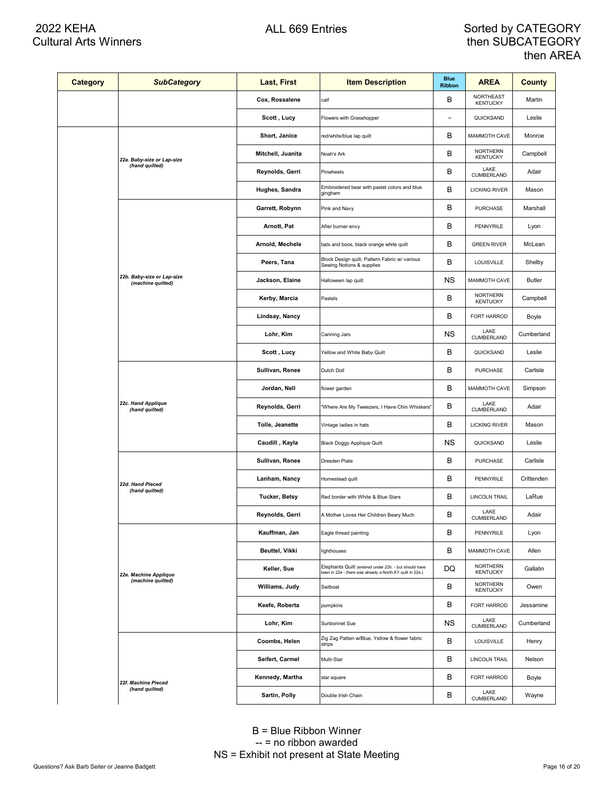| <b>Category</b> | <b>SubCategory</b>                              | Last, First          | <b>Item Description</b>                                                                                            | <b>Blue</b><br><b>Ribbon</b> | <b>AREA</b>                         | <b>County</b> |
|-----------------|-------------------------------------------------|----------------------|--------------------------------------------------------------------------------------------------------------------|------------------------------|-------------------------------------|---------------|
|                 |                                                 | Cox, Rossalene       | calf                                                                                                               | в                            | <b>NORTHEAST</b><br><b>KENTUCKY</b> | Martin        |
|                 |                                                 | Scott, Lucy          | Flowers with Grasshopper                                                                                           | $\overline{a}$               | QUICKSAND                           | Leslie        |
|                 | 22a. Baby-size or Lap-size                      | Short, Janice        | red/white/blue lap quilt                                                                                           | В                            | <b>MAMMOTH CAVE</b>                 | Monroe        |
|                 |                                                 | Mitchell, Juanita    | Noah's Ark                                                                                                         | B                            | <b>NORTHERN</b><br><b>KENTUCKY</b>  | Campbell      |
|                 | (hand quilted)                                  | Reynolds, Gerri      | Pinwheels                                                                                                          | в                            | LAKE<br>CUMBERLAND                  | Adair         |
|                 |                                                 | Hughes, Sandra       | Embroidered bear with pastel colors and blue<br>gingham                                                            | B                            | <b>LICKING RIVER</b>                | Mason         |
|                 |                                                 | Garrett, Robynn      | Pink and Navy                                                                                                      | B                            | <b>PURCHASE</b>                     | Marshall      |
|                 |                                                 | Arnott, Pat          | After burner envy                                                                                                  | B                            | PENNYRILE                           | Lyon          |
|                 |                                                 | Arnold, Mechele      | bats and boos, black orange white quilt                                                                            | В                            | <b>GREEN RIVER</b>                  | McLean        |
|                 |                                                 | Peers, Tana          | Block Design quilt, Pattern Fabric w/ various<br>Sewing Notions & supplies                                         | B                            | LOUISVILLE                          | Shelby        |
|                 | 22b. Baby-size or Lap-size<br>(machine quilted) | Jackson, Elaine      | Halloween lap quilt                                                                                                | ΝS                           | MAMMOTH CAVE                        | <b>Butler</b> |
|                 |                                                 | Kerby, Marcia        | Pastels                                                                                                            | в                            | <b>NORTHERN</b><br><b>KENTUCKY</b>  | Campbell      |
|                 |                                                 | Lindsay, Nancy       |                                                                                                                    | B                            | FORT HARROD                         | Boyle         |
|                 |                                                 | Lohr, Kim            | Canning Jars                                                                                                       | <b>NS</b>                    | LAKE<br>CUMBERLAND                  | Cumberland    |
|                 |                                                 | Scott, Lucy          | Yellow and White Baby Quilt                                                                                        | B                            | QUICKSAND                           | Leslie        |
|                 | 22c. Hand Applique<br>(hand quilted)            | Sullivan, Renee      | Dutch Doll                                                                                                         | В                            | <b>PURCHASE</b>                     | Carlisle      |
|                 |                                                 | Jordan, Nell         | flower garden                                                                                                      | B                            | MAMMOTH CAVE                        | Simpson       |
|                 |                                                 | Reynolds, Gerri      | "Where Are My Tweezers, I Have Chin Whiskers"                                                                      | В                            | LAKE<br>CUMBERLAND                  | Adair         |
|                 |                                                 | Tolle, Jeanette      | Vintage ladies in hats                                                                                             | В                            | <b>LICKING RIVER</b>                | Mason         |
|                 |                                                 | Caudill, Kayla       | Black Doggy Applique Quilt                                                                                         | ΝS                           | QUICKSAND                           | Leslie        |
|                 |                                                 | Sullivan, Renee      | Dresden Plate                                                                                                      | в                            | <b>PURCHASE</b>                     | Carlisle      |
|                 | 22d. Hand Pieced<br>(hand quilted)              | Lanham, Nancy        | Homestead quilt                                                                                                    | В                            | PENNYRILE                           | Crittenden    |
|                 |                                                 | <b>Tucker, Betsy</b> | Red border with White & Blue Stars                                                                                 | в                            | <b>LINCOLN TRAIL</b>                | LaRue         |
|                 |                                                 | Reynolds, Gerri      | A Mother Loves Her Children Beary Much                                                                             | В                            | LAKE<br>CUMBERLAND                  | Adair         |
|                 |                                                 | Kauffman, Jan        | Eagle thread painting                                                                                              | В                            | PENNYRILE                           | Lyon          |
|                 |                                                 | Beuttel, Vikki       | lighthouses                                                                                                        | В                            | MAMMOTH CAVE                        | Allen         |
|                 | 22e. Machine Applique                           | Keller, Sue          | Elephants Quilt (entered under 22h. - but should have<br>been in 22e - there was already a North.KY quilt in 22e.) | DQ                           | <b>NORTHERN</b><br><b>KENTUCKY</b>  | Gallatin      |
|                 | (machine quilted)                               | Williams, Judy       | Sailboat                                                                                                           | в                            | <b>NORTHERN</b><br><b>KENTUCKY</b>  | Owen          |
|                 |                                                 | Keefe, Roberta       | pumpkins                                                                                                           | В                            | FORT HARROD                         | Jessamine     |
|                 |                                                 | Lohr, Kim            | Sunbonnet Sue                                                                                                      | ΝS                           | LAKE<br>CUMBERLAND                  | Cumberland    |
|                 |                                                 | Coombs, Helen        | Zig Zag Patten w/Blue, Yellow & flower fabric<br>strips                                                            | В                            | LOUISVILLE                          | Henry         |
|                 |                                                 | Seifert, Carmel      | Multi-Star                                                                                                         | В                            | <b>LINCOLN TRAIL</b>                | Nelson        |
|                 | 22f. Machine Pieced                             | Kennedy, Martha      | star square                                                                                                        | В                            | FORT HARROD                         | Boyle         |
|                 | (hand quilted)                                  | Sartin, Polly        | Double Irish Chain                                                                                                 | B                            | LAKE<br><b>CUMBERLAND</b>           | Wayne         |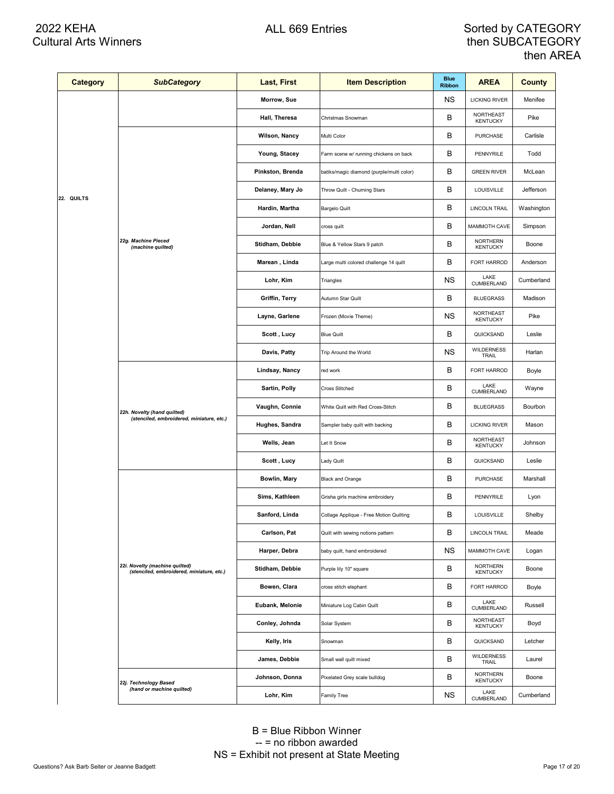| <b>Category</b> | <b>SubCategory</b>                                                          | Last, First      | <b>Item Description</b>                   | <b>Blue</b><br><b>Ribbon</b> | <b>AREA</b>                         | County     |
|-----------------|-----------------------------------------------------------------------------|------------------|-------------------------------------------|------------------------------|-------------------------------------|------------|
|                 |                                                                             | Morrow, Sue      |                                           | ΝS                           | <b>LICKING RIVER</b>                | Menifee    |
|                 |                                                                             | Hall, Theresa    | Christmas Snowman                         | в                            | NORTHEAST<br><b>KENTUCKY</b>        | Pike       |
|                 |                                                                             | Wilson, Nancy    | Multi Color                               | в                            | <b>PURCHASE</b>                     | Carlisle   |
|                 |                                                                             | Young, Stacey    | Farm scene w/ running chickens on back    | в                            | PENNYRILE                           | Todd       |
|                 |                                                                             | Pinkston, Brenda | batiks/magic diamond (purple/multi color) | B                            | <b>GREEN RIVER</b>                  | McLean     |
|                 |                                                                             | Delaney, Mary Jo | Throw Quilt - Churning Stars              | в                            | LOUISVILLE                          | Jefferson  |
| 22. QUILTS      |                                                                             | Hardin, Martha   | <b>Bargelo Quilt</b>                      | B                            | LINCOLN TRAIL                       | Washington |
|                 |                                                                             | Jordan, Nell     | cross quilt                               | в                            | MAMMOTH CAVE                        | Simpson    |
|                 | 22g. Machine Pieced<br>(machine quilted)                                    | Stidham, Debbie  | Blue & Yellow Stars 9 patch               | в                            | <b>NORTHERN</b><br><b>KENTUCKY</b>  | Boone      |
|                 |                                                                             | Marean, Linda    | Large multi colored challenge 14 quilt    | в                            | FORT HARROD                         | Anderson   |
|                 |                                                                             | Lohr, Kim        | Triangles                                 | ΝS                           | LAKE<br>CUMBERLAND                  | Cumberland |
|                 |                                                                             | Griffin, Terry   | Autumn Star Quilt                         | B                            | <b>BLUEGRASS</b>                    | Madison    |
|                 |                                                                             | Layne, Garlene   | Frozen (Movie Theme)                      | ΝS                           | NORTHEAST<br><b>KENTUCKY</b>        | Pike       |
|                 |                                                                             | Scott, Lucy      | <b>Blue Quilt</b>                         | в                            | QUICKSAND                           | Leslie     |
|                 |                                                                             | Davis, Patty     | Trip Around the World                     | ΝS                           | <b>WILDERNESS</b><br>TRAIL          | Harlan     |
|                 | 22h. Novelty (hand quilted)<br>(stenciled, embroidered, miniature, etc.)    | Lindsay, Nancy   | red work                                  | в                            | FORT HARROD                         | Boyle      |
|                 |                                                                             | Sartin, Polly    | Cross Stitched                            | В                            | LAKE<br>CUMBERLAND                  | Wayne      |
|                 |                                                                             | Vaughn, Connie   | White Quilt with Red Cross-Stitch         | в                            | <b>BLUEGRASS</b>                    | Bourbon    |
|                 |                                                                             | Hughes, Sandra   | Sampler baby quilt with backing           | В                            | <b>LICKING RIVER</b>                | Mason      |
|                 |                                                                             | Wells, Jean      | Let It Snow                               | B                            | NORTHEAST<br><b>KENTUCKY</b>        | Johnson    |
|                 |                                                                             | Scott, Lucy      | Lady Quilt                                | B                            | QUICKSAND                           | Leslie     |
|                 |                                                                             | Bowlin, Mary     | <b>Black and Orange</b>                   | в                            | PURCHASE                            | Marshall   |
|                 |                                                                             | Sims, Kathleen   | Grisha girls machine embroidery           | В                            | PENNYRILE                           | Lyon       |
|                 |                                                                             | Sanford, Linda   | Collage Applique - Free Motion Quilting   | В                            | LOUISVILLE                          | Shelby     |
|                 |                                                                             | Carlson, Pat     | Quilt with sewing notions pattern         | в                            | <b>LINCOLN TRAIL</b>                | Meade      |
|                 |                                                                             | Harper, Debra    | baby quilt, hand embroidered              | ΝS                           | MAMMOTH CAVE                        | Logan      |
|                 | 22i. Novelty (machine quilted)<br>(stenciled, embroidered, miniature, etc.) | Stidham, Debbie  | Purple lily 10" square                    | В                            | <b>NORTHERN</b><br><b>KENTUCKY</b>  | Boone      |
|                 |                                                                             | Bowen, Clara     | cross stitch elephant                     | в                            | FORT HARROD                         | Boyle      |
|                 |                                                                             | Eubank, Melonie  | Miniature Log Cabin Quilt                 | в                            | LAKE<br>CUMBERLAND                  | Russell    |
|                 |                                                                             | Conley, Johnda   | Solar System                              | B                            | <b>NORTHEAST</b><br><b>KENTUCKY</b> | Boyd       |
|                 |                                                                             | Kelly, Iris      | Snowman                                   | в                            | QUICKSAND                           | Letcher    |
|                 |                                                                             | James, Debbie    | Small wall quilt mixed                    | в                            | <b>WILDERNESS</b><br>TRAIL          | Laurel     |
|                 | 22j. Technology Based                                                       | Johnson, Donna   | Pixelated Grey scale bulldog              | в                            | <b>NORTHERN</b><br><b>KENTUCKY</b>  | Boone      |
|                 | (hand or machine quilted)                                                   | Lohr, Kim        | Family Tree                               | ΝS                           | LAKE<br>CUMBERLAND                  | Cumberland |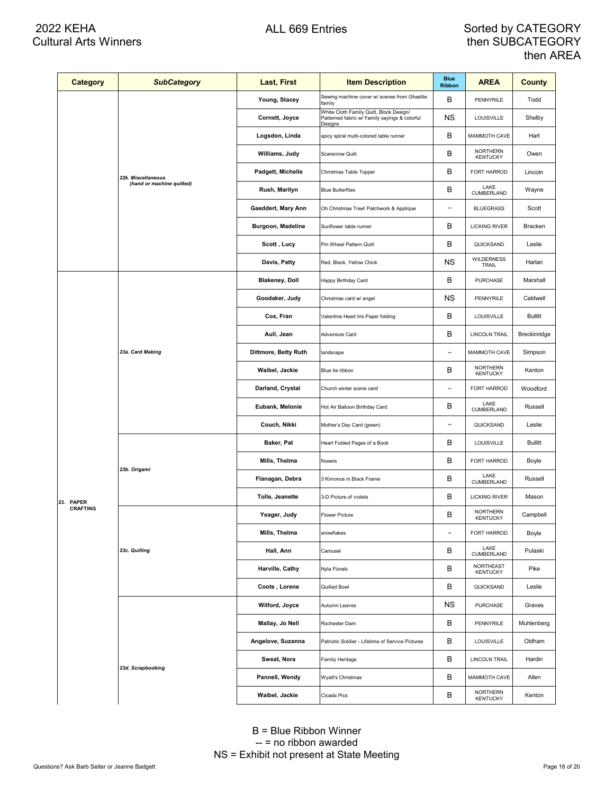| <b>Category</b> | <b>SubCategory</b>        | Last, First           | <b>Item Description</b>                                                                             | <b>Blue</b><br><b>Ribbon</b> | <b>AREA</b>                        | County         |
|-----------------|---------------------------|-----------------------|-----------------------------------------------------------------------------------------------------|------------------------------|------------------------------------|----------------|
|                 |                           | Young, Stacey         | Sewing machine cover w/ scenes from Ghastlie<br>family                                              | В                            | PENNYRILE                          | Todd           |
|                 |                           | Cornett, Joyce        | White Cloth Family Quilt, Block Design/<br>Patterned fabric w/ Family sayings & colorful<br>Designs | ΝS                           | LOUISVILLE                         | Shelby         |
|                 |                           | Logsdon, Linda        | spicy spiral multi-colored table runner                                                             | В                            | MAMMOTH CAVE                       | Hart           |
|                 |                           | Williams, Judy        | Scarecrow Quilt                                                                                     | в                            | <b>NORTHERN</b><br><b>KENTUCKY</b> | Owen           |
|                 | 22k. Miscellaneous        | Padgett, Michelle     | Christmas Table Topper                                                                              | в                            | FORT HARROD                        | Lincoln        |
|                 | (hand or machine quilted) | Rush, Marilyn         | <b>Blue Butterflies</b>                                                                             | В                            | LAKE<br>CUMBERLAND                 | Wayne          |
|                 |                           | Gaeddert, Mary Ann    | Oh Christmas Tree! Patchwork & Applique                                                             | $\overline{\phantom{0}}$     | <b>BLUEGRASS</b>                   | Scott          |
|                 |                           | Burgoon, Madeline     | Sunflower table runner                                                                              | в                            | <b>LICKING RIVER</b>               | Bracken        |
|                 |                           | Scott, Lucy           | Pin Wheel Pattern Quilt                                                                             | в                            | QUICKSAND                          | Leslie         |
|                 |                           | Davis, Patty          | Red, Black, Yellow Chick                                                                            | ΝS                           | <b>WILDERNESS</b><br>TRAIL         | Harlan         |
|                 |                           | <b>Blakeney, Doll</b> | Happy Birthday Card                                                                                 | В                            | <b>PURCHASE</b>                    | Marshall       |
|                 |                           | Goodaker, Judy        | Christmas card w/ angel                                                                             | ΝS                           | PENNYRILE                          | Caldwell       |
|                 | 23a. Card Making          | Cox, Fran             | Valentine Heart Iris Paper folding                                                                  | В                            | LOUISVILLE                         | <b>Bullitt</b> |
|                 |                           | Aull, Jean            | Adventure Card                                                                                      | в                            | LINCOLN TRAIL                      | Breckinridge   |
|                 |                           | Dittmore, Betty Ruth  | landscape                                                                                           | $\overline{\phantom{0}}$     | MAMMOTH CAVE                       | Simpson        |
|                 |                           | Waibel, Jackie        | Blue tie ribbon                                                                                     | в                            | <b>NORTHERN</b><br><b>KENTUCKY</b> | Kenton         |
|                 |                           | Darland, Crystal      | Church winter scene card                                                                            | $\overline{a}$               | FORT HARROD                        | Woodford       |
|                 |                           | Eubank, Melonie       | Hot Air Balloon Birthday Card                                                                       | В                            | LAKE<br>CUMBERLAND                 | Russell        |
|                 |                           | Couch, Nikki          | Mother's Day Card (green)                                                                           | $\overline{\phantom{a}}$     | QUICKSAND                          | Leslie         |
|                 | 23b. Origami              | Baker, Pat            | Heart Folded Pages of a Book                                                                        | В                            | LOUISVILLE                         | <b>Bullitt</b> |
|                 |                           | Mills, Thelma         | flowers                                                                                             | в                            | FORT HARROD                        | Boyle          |
|                 |                           | Flanagan, Debra       | 3 Kimonos in Black Frame                                                                            | в                            | LAKE<br>CUMBERLAND                 | Russell        |
| 23. PAPER       |                           | Tolle, Jeanette       | 3-D Picture of violets                                                                              | В                            | <b>LICKING RIVER</b>               | Mason          |
| <b>CRAFTING</b> |                           | Yeager, Judy          | Flower Picture                                                                                      | в                            | <b>NORTHERN</b><br><b>KENTUCKY</b> | Campbell       |
|                 |                           | Mills, Thelma         | snowflakes                                                                                          | $\overline{\phantom{0}}$     | FORT HARROD                        | Boyle          |
|                 | 23c. Quilling             | Hall, Ann             | Carousel                                                                                            | В                            | LAKE<br>CUMBERLAND                 | Pulaski        |
|                 |                           | Harville, Cathy       | Nyla Florals                                                                                        | В                            | NORTHEAST<br><b>KENTUCKY</b>       | Pike           |
|                 |                           | Coots, Lorene         | Quilled Bowl                                                                                        | В                            | QUICKSAND                          | Leslie         |
|                 |                           | Wilford, Joyce        | Autumn Leaves                                                                                       | ΝS                           | PURCHASE                           | Graves         |
|                 |                           | Mallay, Jo Nell       | Rochester Dam                                                                                       | В                            | PENNYRILE                          | Muhlenberg     |
|                 |                           | Angelove, Suzanna     | Patriotic Soldier - Lifetime of Service Pictures                                                    | В                            | LOUISVILLE                         | Oldham         |
|                 | 23d. Scrapbooking         | Sweat, Nora           | Family Heritage                                                                                     | В                            | <b>LINCOLN TRAIL</b>               | Hardin         |
|                 |                           | Pannell, Wendy        | Wyatt's Christmas                                                                                   | В                            | MAMMOTH CAVE                       | Allen          |
|                 |                           | Waibel, Jackie        | Cicada Pics                                                                                         | В                            | NORTHERN<br><b>KENTUCKY</b>        | Kenton         |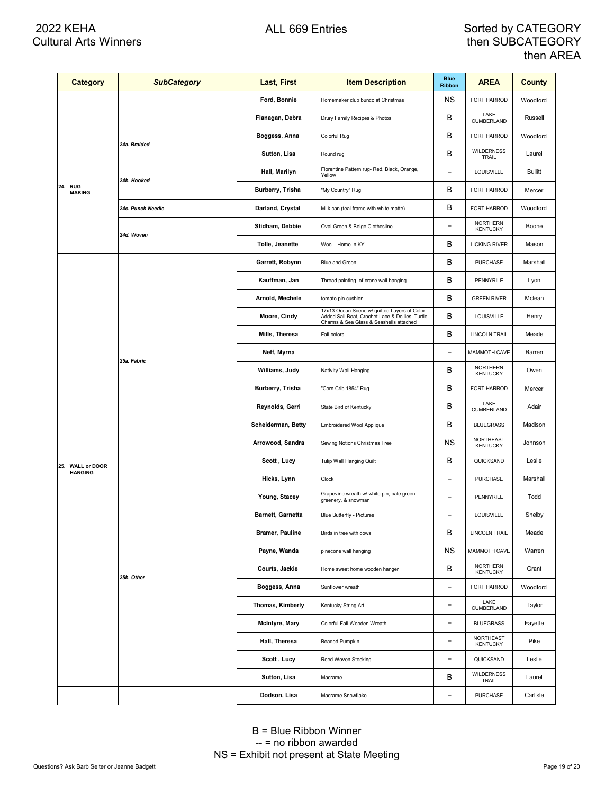| <b>Category</b>          | <b>SubCategory</b> | Last, First            | <b>Item Description</b>                                                                                                                    | <b>Blue</b><br><b>Ribbon</b> | <b>AREA</b>                         | <b>County</b>  |
|--------------------------|--------------------|------------------------|--------------------------------------------------------------------------------------------------------------------------------------------|------------------------------|-------------------------------------|----------------|
|                          |                    | Ford, Bonnie           | Homemaker club bunco at Christmas                                                                                                          | ΝS                           | FORT HARROD                         | Woodford       |
|                          |                    | Flanagan, Debra        | Drury Family Recipes & Photos                                                                                                              | В                            | LAKE<br>CUMBERLAND                  | Russell        |
|                          |                    | Boggess, Anna          | Colorful Rug                                                                                                                               | В                            | FORT HARROD                         | Woodford       |
|                          | 24a. Braided       | Sutton, Lisa           | Round rug                                                                                                                                  | B                            | <b>WILDERNESS</b><br>TRAIL          | Laurel         |
|                          |                    | Hall, Marilyn          | Florentine Pattern rug- Red, Black, Orange,<br>Yellow                                                                                      | ۳                            | LOUISVILLE                          | <b>Bullitt</b> |
| 24. RUG<br><b>MAKING</b> | 24b. Hooked        | Burberry, Trisha       | "My Country" Rug                                                                                                                           | в                            | FORT HARROD                         | Mercer         |
|                          | 24c. Punch Needle  | Darland, Crystal       | Milk can (teal frame with white matte)                                                                                                     | В                            | FORT HARROD                         | Woodford       |
|                          | 24d. Woven         | Stidham, Debbie        | Oval Green & Beige Clothesline                                                                                                             | $\overline{\phantom{0}}$     | <b>NORTHERN</b><br><b>KENTUCKY</b>  | Boone          |
|                          |                    | Tolle, Jeanette        | Wool - Home in KY                                                                                                                          | В                            | <b>LICKING RIVER</b>                | Mason          |
|                          |                    | Garrett, Robynn        | Blue and Green                                                                                                                             | в                            | PURCHASE                            | Marshall       |
|                          |                    | Kauffman, Jan          | Thread painting of crane wall hanging                                                                                                      | В                            | PENNYRILE                           | Lyon           |
|                          |                    | Arnold, Mechele        | tomato pin cushion                                                                                                                         | B                            | <b>GREEN RIVER</b>                  | Mclean         |
|                          |                    | Moore, Cindy           | 17x13 Ocean Scene w/ quilted Layers of Color<br>Added Sail Boat, Crochet Lace & Doilies, Turtle<br>Charms & Sea Glass & Seashells attached | В                            | LOUISVILLE                          | Henry          |
|                          | 25a. Fabric        | Mills, Theresa         | Fall colors                                                                                                                                | В                            | <b>LINCOLN TRAIL</b>                | Meade          |
|                          |                    | Neff, Myrna            |                                                                                                                                            | $\overline{a}$               | MAMMOTH CAVE                        | Barren         |
|                          |                    | Williams, Judy         | Nativity Wall Hanging                                                                                                                      | в                            | <b>NORTHERN</b><br><b>KENTUCKY</b>  | Owen           |
|                          |                    | Burberry, Trisha       | "Corn Crib 1854" Rug                                                                                                                       | В                            | FORT HARROD                         | Mercer         |
|                          |                    | Reynolds, Gerri        | State Bird of Kentucky                                                                                                                     | B                            | LAKE<br><b>CUMBERLAND</b>           | Adair          |
|                          |                    | Scheiderman, Betty     | Embroidered Wool Applique                                                                                                                  | В                            | <b>BLUEGRASS</b>                    | Madison        |
|                          |                    | Arrowood, Sandra       | Sewing Notions Christmas Tree                                                                                                              | <b>NS</b>                    | NORTHEAST<br><b>KENTUCKY</b>        | Johnson        |
| 25. WALL or DOOR         |                    | Scott , Lucy           | Tulip Wall Hanging Quilt                                                                                                                   | В                            | QUICKSAND                           | Leslie         |
| <b>HANGING</b>           |                    | Hicks, Lynn            | Clock                                                                                                                                      | $\overline{\phantom{a}}$     | <b>PURCHASE</b>                     | Marshall       |
|                          |                    | Young, Stacey          | Grapevine wreath w/ white pin, pale green<br>greenery, & snowman                                                                           | $\overline{\phantom{a}}$     | PENNYRILE                           | Todd           |
|                          |                    | Barnett, Garnetta      | <b>Blue Butterfly - Pictures</b>                                                                                                           | $\overline{\phantom{a}}$     | LOUISVILLE                          | Shelby         |
|                          |                    | <b>Bramer, Pauline</b> | Birds in tree with cows                                                                                                                    | В                            | <b>LINCOLN TRAIL</b>                | Meade          |
|                          |                    | Payne, Wanda           | pinecone wall hanging                                                                                                                      | ΝS                           | MAMMOTH CAVE                        | Warren         |
|                          | 25b. Other         | Courts, Jackie         | Home sweet home wooden hanger                                                                                                              | B                            | <b>NORTHERN</b><br><b>KENTUCKY</b>  | Grant          |
|                          |                    | Boggess, Anna          | Sunflower wreath                                                                                                                           | $\overline{a}$               | FORT HARROD                         | Woodford       |
|                          |                    | Thomas, Kimberly       | Kentucky String Art                                                                                                                        | $\overline{a}$               | LAKE<br>CUMBERLAND                  | Taylor         |
|                          |                    | McIntyre, Mary         | Colorful Fall Wooden Wreath                                                                                                                | $\overline{a}$               | <b>BLUEGRASS</b>                    | Fayette        |
|                          |                    | Hall, Theresa          | <b>Beaded Pumpkin</b>                                                                                                                      | $\overline{\phantom{a}}$     | <b>NORTHEAST</b><br><b>KENTUCKY</b> | Pike           |
|                          |                    | Scott, Lucy            | Reed Woven Stocking                                                                                                                        | $\overline{a}$               | QUICKSAND                           | Leslie         |
|                          |                    | Sutton, Lisa           | Macrame                                                                                                                                    | В                            | <b>WILDERNESS</b><br>TRAIL          | Laurel         |
|                          |                    | Dodson, Lisa           | Macrame Snowflake                                                                                                                          | $\overline{a}$               | PURCHASE                            | Carlisle       |